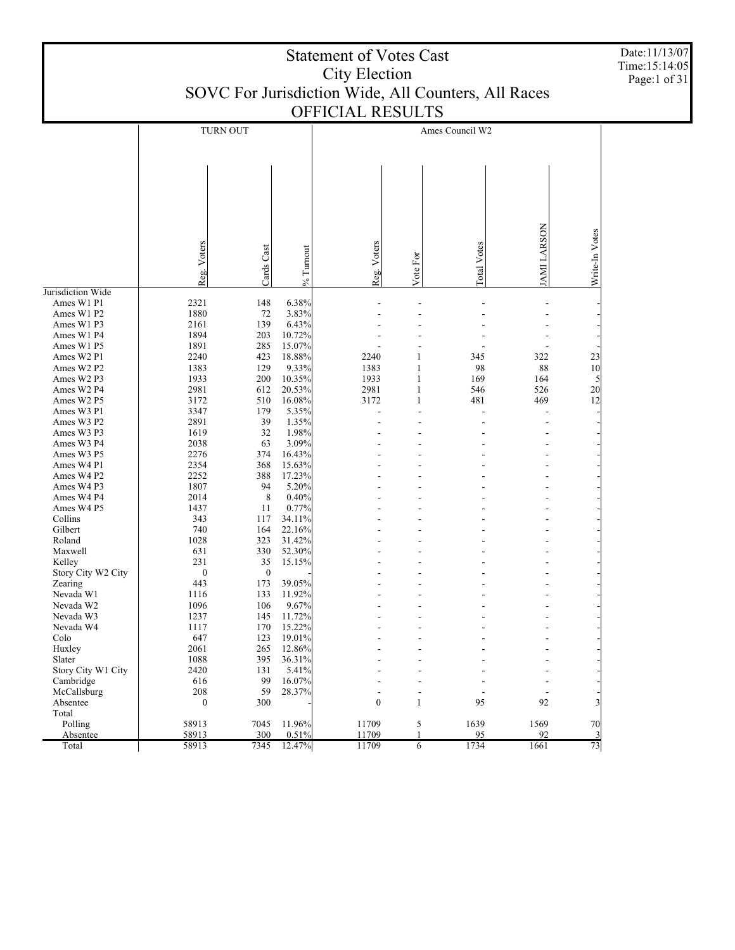| Page:1 of 31<br>SOVC For Jurisdiction Wide, All Counters, All Races<br>OFFICIAL RESULTS<br><b>TURN OUT</b><br>Ames Council W2<br>JAMI LARSON<br>Write-In Votes<br>Voters<br>Reg. Voters<br><b>Lotal Votes</b><br>Cards Cast<br>% Turnout<br>Vote For<br>Reg.<br>Jurisdiction Wide<br>148<br>6.38%<br>Ames W1 P1<br>2321<br>1880<br>3.83%<br>Ames W1 P2<br>72<br>6.43%<br>Ames W1 P3<br>2161<br>139<br>1894<br>Ames W1 P4<br>203<br>10.72%<br>1891<br>285<br>15.07%<br>Ames W1 P5<br>2240<br>Ames W2 P1<br>423<br>18.88%<br>2240<br>345<br>322<br>23<br>10<br>Ames W2 P2<br>1383<br>9.33%<br>1383<br>98<br>88<br>129<br>1933<br>200<br>10.35%<br>1933<br>Ames W2 P3<br>169<br>164<br>5<br>2981<br>20.53%<br>2981<br>546<br>526<br>20<br>Ames W2 P4<br>612<br>12<br>16.08%<br>3172<br>481<br>469<br>Ames W2 P5<br>3172<br>510<br>179<br>5.35%<br>Ames W3 P1<br>3347<br>2891<br>1.35%<br>Ames W3 P2<br>39<br>1619<br>1.98%<br>Ames W3 P3<br>32<br>2038<br>3.09%<br>Ames W3 P4<br>63<br>2276<br>374<br>16.43%<br>Ames W3 P5<br>2354<br>Ames W4 P1<br>368<br>15.63%<br>2252<br>388<br>17.23%<br>Ames W4 P2<br>1807<br>5.20%<br>Ames W4 P3<br>94<br>2014<br>8<br>0.40%<br>Ames W4 P4<br>Ames W4 P5<br>0.77%<br>1437<br>11<br>34.11%<br>Collins<br>343<br>117<br>22.16%<br>Gilbert<br>740<br>164<br>1028<br>31.42%<br>Roland<br>323<br>52.30%<br>Maxwell<br>631<br>330<br>35<br>231<br>15.15%<br>Kelley<br>$\boldsymbol{0}$<br>Story City W2 City<br>$\boldsymbol{0}$<br>173<br>39.05%<br>443<br>Zearing | <b>Statement of Votes Cast</b><br><b>City Election</b> |      |     |        |  |  |  |  |  | Date:11/13/07<br>Time:15:14:05 |
|---------------------------------------------------------------------------------------------------------------------------------------------------------------------------------------------------------------------------------------------------------------------------------------------------------------------------------------------------------------------------------------------------------------------------------------------------------------------------------------------------------------------------------------------------------------------------------------------------------------------------------------------------------------------------------------------------------------------------------------------------------------------------------------------------------------------------------------------------------------------------------------------------------------------------------------------------------------------------------------------------------------------------------------------------------------------------------------------------------------------------------------------------------------------------------------------------------------------------------------------------------------------------------------------------------------------------------------------------------------------------------------------------------------------------------------------------------------------------------------------------|--------------------------------------------------------|------|-----|--------|--|--|--|--|--|--------------------------------|
|                                                                                                                                                                                                                                                                                                                                                                                                                                                                                                                                                                                                                                                                                                                                                                                                                                                                                                                                                                                                                                                                                                                                                                                                                                                                                                                                                                                                                                                                                                   |                                                        |      |     |        |  |  |  |  |  |                                |
|                                                                                                                                                                                                                                                                                                                                                                                                                                                                                                                                                                                                                                                                                                                                                                                                                                                                                                                                                                                                                                                                                                                                                                                                                                                                                                                                                                                                                                                                                                   |                                                        |      |     |        |  |  |  |  |  |                                |
|                                                                                                                                                                                                                                                                                                                                                                                                                                                                                                                                                                                                                                                                                                                                                                                                                                                                                                                                                                                                                                                                                                                                                                                                                                                                                                                                                                                                                                                                                                   |                                                        |      |     |        |  |  |  |  |  |                                |
|                                                                                                                                                                                                                                                                                                                                                                                                                                                                                                                                                                                                                                                                                                                                                                                                                                                                                                                                                                                                                                                                                                                                                                                                                                                                                                                                                                                                                                                                                                   |                                                        |      |     |        |  |  |  |  |  |                                |
|                                                                                                                                                                                                                                                                                                                                                                                                                                                                                                                                                                                                                                                                                                                                                                                                                                                                                                                                                                                                                                                                                                                                                                                                                                                                                                                                                                                                                                                                                                   |                                                        |      |     |        |  |  |  |  |  |                                |
|                                                                                                                                                                                                                                                                                                                                                                                                                                                                                                                                                                                                                                                                                                                                                                                                                                                                                                                                                                                                                                                                                                                                                                                                                                                                                                                                                                                                                                                                                                   |                                                        |      |     |        |  |  |  |  |  |                                |
|                                                                                                                                                                                                                                                                                                                                                                                                                                                                                                                                                                                                                                                                                                                                                                                                                                                                                                                                                                                                                                                                                                                                                                                                                                                                                                                                                                                                                                                                                                   |                                                        |      |     |        |  |  |  |  |  |                                |
|                                                                                                                                                                                                                                                                                                                                                                                                                                                                                                                                                                                                                                                                                                                                                                                                                                                                                                                                                                                                                                                                                                                                                                                                                                                                                                                                                                                                                                                                                                   |                                                        |      |     |        |  |  |  |  |  |                                |
|                                                                                                                                                                                                                                                                                                                                                                                                                                                                                                                                                                                                                                                                                                                                                                                                                                                                                                                                                                                                                                                                                                                                                                                                                                                                                                                                                                                                                                                                                                   |                                                        |      |     |        |  |  |  |  |  |                                |
|                                                                                                                                                                                                                                                                                                                                                                                                                                                                                                                                                                                                                                                                                                                                                                                                                                                                                                                                                                                                                                                                                                                                                                                                                                                                                                                                                                                                                                                                                                   |                                                        |      |     |        |  |  |  |  |  |                                |
|                                                                                                                                                                                                                                                                                                                                                                                                                                                                                                                                                                                                                                                                                                                                                                                                                                                                                                                                                                                                                                                                                                                                                                                                                                                                                                                                                                                                                                                                                                   |                                                        |      |     |        |  |  |  |  |  |                                |
|                                                                                                                                                                                                                                                                                                                                                                                                                                                                                                                                                                                                                                                                                                                                                                                                                                                                                                                                                                                                                                                                                                                                                                                                                                                                                                                                                                                                                                                                                                   |                                                        |      |     |        |  |  |  |  |  |                                |
|                                                                                                                                                                                                                                                                                                                                                                                                                                                                                                                                                                                                                                                                                                                                                                                                                                                                                                                                                                                                                                                                                                                                                                                                                                                                                                                                                                                                                                                                                                   |                                                        |      |     |        |  |  |  |  |  |                                |
|                                                                                                                                                                                                                                                                                                                                                                                                                                                                                                                                                                                                                                                                                                                                                                                                                                                                                                                                                                                                                                                                                                                                                                                                                                                                                                                                                                                                                                                                                                   |                                                        |      |     |        |  |  |  |  |  |                                |
|                                                                                                                                                                                                                                                                                                                                                                                                                                                                                                                                                                                                                                                                                                                                                                                                                                                                                                                                                                                                                                                                                                                                                                                                                                                                                                                                                                                                                                                                                                   |                                                        |      |     |        |  |  |  |  |  |                                |
|                                                                                                                                                                                                                                                                                                                                                                                                                                                                                                                                                                                                                                                                                                                                                                                                                                                                                                                                                                                                                                                                                                                                                                                                                                                                                                                                                                                                                                                                                                   |                                                        |      |     |        |  |  |  |  |  |                                |
|                                                                                                                                                                                                                                                                                                                                                                                                                                                                                                                                                                                                                                                                                                                                                                                                                                                                                                                                                                                                                                                                                                                                                                                                                                                                                                                                                                                                                                                                                                   |                                                        |      |     |        |  |  |  |  |  |                                |
|                                                                                                                                                                                                                                                                                                                                                                                                                                                                                                                                                                                                                                                                                                                                                                                                                                                                                                                                                                                                                                                                                                                                                                                                                                                                                                                                                                                                                                                                                                   |                                                        |      |     |        |  |  |  |  |  |                                |
|                                                                                                                                                                                                                                                                                                                                                                                                                                                                                                                                                                                                                                                                                                                                                                                                                                                                                                                                                                                                                                                                                                                                                                                                                                                                                                                                                                                                                                                                                                   |                                                        |      |     |        |  |  |  |  |  |                                |
|                                                                                                                                                                                                                                                                                                                                                                                                                                                                                                                                                                                                                                                                                                                                                                                                                                                                                                                                                                                                                                                                                                                                                                                                                                                                                                                                                                                                                                                                                                   |                                                        |      |     |        |  |  |  |  |  |                                |
|                                                                                                                                                                                                                                                                                                                                                                                                                                                                                                                                                                                                                                                                                                                                                                                                                                                                                                                                                                                                                                                                                                                                                                                                                                                                                                                                                                                                                                                                                                   |                                                        |      |     |        |  |  |  |  |  |                                |
|                                                                                                                                                                                                                                                                                                                                                                                                                                                                                                                                                                                                                                                                                                                                                                                                                                                                                                                                                                                                                                                                                                                                                                                                                                                                                                                                                                                                                                                                                                   |                                                        |      |     |        |  |  |  |  |  |                                |
|                                                                                                                                                                                                                                                                                                                                                                                                                                                                                                                                                                                                                                                                                                                                                                                                                                                                                                                                                                                                                                                                                                                                                                                                                                                                                                                                                                                                                                                                                                   |                                                        |      |     |        |  |  |  |  |  |                                |
|                                                                                                                                                                                                                                                                                                                                                                                                                                                                                                                                                                                                                                                                                                                                                                                                                                                                                                                                                                                                                                                                                                                                                                                                                                                                                                                                                                                                                                                                                                   |                                                        |      |     |        |  |  |  |  |  |                                |
|                                                                                                                                                                                                                                                                                                                                                                                                                                                                                                                                                                                                                                                                                                                                                                                                                                                                                                                                                                                                                                                                                                                                                                                                                                                                                                                                                                                                                                                                                                   |                                                        |      |     |        |  |  |  |  |  |                                |
|                                                                                                                                                                                                                                                                                                                                                                                                                                                                                                                                                                                                                                                                                                                                                                                                                                                                                                                                                                                                                                                                                                                                                                                                                                                                                                                                                                                                                                                                                                   |                                                        |      |     |        |  |  |  |  |  |                                |
|                                                                                                                                                                                                                                                                                                                                                                                                                                                                                                                                                                                                                                                                                                                                                                                                                                                                                                                                                                                                                                                                                                                                                                                                                                                                                                                                                                                                                                                                                                   |                                                        |      |     |        |  |  |  |  |  |                                |
|                                                                                                                                                                                                                                                                                                                                                                                                                                                                                                                                                                                                                                                                                                                                                                                                                                                                                                                                                                                                                                                                                                                                                                                                                                                                                                                                                                                                                                                                                                   |                                                        |      |     |        |  |  |  |  |  |                                |
|                                                                                                                                                                                                                                                                                                                                                                                                                                                                                                                                                                                                                                                                                                                                                                                                                                                                                                                                                                                                                                                                                                                                                                                                                                                                                                                                                                                                                                                                                                   |                                                        |      |     |        |  |  |  |  |  |                                |
|                                                                                                                                                                                                                                                                                                                                                                                                                                                                                                                                                                                                                                                                                                                                                                                                                                                                                                                                                                                                                                                                                                                                                                                                                                                                                                                                                                                                                                                                                                   |                                                        |      |     |        |  |  |  |  |  |                                |
|                                                                                                                                                                                                                                                                                                                                                                                                                                                                                                                                                                                                                                                                                                                                                                                                                                                                                                                                                                                                                                                                                                                                                                                                                                                                                                                                                                                                                                                                                                   |                                                        |      |     |        |  |  |  |  |  |                                |
|                                                                                                                                                                                                                                                                                                                                                                                                                                                                                                                                                                                                                                                                                                                                                                                                                                                                                                                                                                                                                                                                                                                                                                                                                                                                                                                                                                                                                                                                                                   |                                                        |      |     |        |  |  |  |  |  |                                |
|                                                                                                                                                                                                                                                                                                                                                                                                                                                                                                                                                                                                                                                                                                                                                                                                                                                                                                                                                                                                                                                                                                                                                                                                                                                                                                                                                                                                                                                                                                   |                                                        |      |     |        |  |  |  |  |  |                                |
|                                                                                                                                                                                                                                                                                                                                                                                                                                                                                                                                                                                                                                                                                                                                                                                                                                                                                                                                                                                                                                                                                                                                                                                                                                                                                                                                                                                                                                                                                                   |                                                        |      |     |        |  |  |  |  |  |                                |
|                                                                                                                                                                                                                                                                                                                                                                                                                                                                                                                                                                                                                                                                                                                                                                                                                                                                                                                                                                                                                                                                                                                                                                                                                                                                                                                                                                                                                                                                                                   |                                                        |      |     |        |  |  |  |  |  |                                |
|                                                                                                                                                                                                                                                                                                                                                                                                                                                                                                                                                                                                                                                                                                                                                                                                                                                                                                                                                                                                                                                                                                                                                                                                                                                                                                                                                                                                                                                                                                   |                                                        |      |     |        |  |  |  |  |  |                                |
|                                                                                                                                                                                                                                                                                                                                                                                                                                                                                                                                                                                                                                                                                                                                                                                                                                                                                                                                                                                                                                                                                                                                                                                                                                                                                                                                                                                                                                                                                                   | Nevada W1                                              | 1116 | 133 | 11.92% |  |  |  |  |  |                                |
| 1096<br>Nevada W2<br>106<br>9.67%                                                                                                                                                                                                                                                                                                                                                                                                                                                                                                                                                                                                                                                                                                                                                                                                                                                                                                                                                                                                                                                                                                                                                                                                                                                                                                                                                                                                                                                                 |                                                        |      |     |        |  |  |  |  |  |                                |
| 1237<br>Nevada W3<br>145<br>11.72%                                                                                                                                                                                                                                                                                                                                                                                                                                                                                                                                                                                                                                                                                                                                                                                                                                                                                                                                                                                                                                                                                                                                                                                                                                                                                                                                                                                                                                                                |                                                        |      |     |        |  |  |  |  |  |                                |
| Nevada W4<br>1117<br>170<br>15.22%                                                                                                                                                                                                                                                                                                                                                                                                                                                                                                                                                                                                                                                                                                                                                                                                                                                                                                                                                                                                                                                                                                                                                                                                                                                                                                                                                                                                                                                                |                                                        |      |     |        |  |  |  |  |  |                                |
| 647<br>Colo<br>123<br>19.01%<br>2061<br>265<br>12.86%<br>Huxley                                                                                                                                                                                                                                                                                                                                                                                                                                                                                                                                                                                                                                                                                                                                                                                                                                                                                                                                                                                                                                                                                                                                                                                                                                                                                                                                                                                                                                   |                                                        |      |     |        |  |  |  |  |  |                                |
| Slater<br>1088<br>395<br>36.31%                                                                                                                                                                                                                                                                                                                                                                                                                                                                                                                                                                                                                                                                                                                                                                                                                                                                                                                                                                                                                                                                                                                                                                                                                                                                                                                                                                                                                                                                   |                                                        |      |     |        |  |  |  |  |  |                                |
| 2420<br>Story City W1 City<br>131<br>5.41%                                                                                                                                                                                                                                                                                                                                                                                                                                                                                                                                                                                                                                                                                                                                                                                                                                                                                                                                                                                                                                                                                                                                                                                                                                                                                                                                                                                                                                                        |                                                        |      |     |        |  |  |  |  |  |                                |
| Cambridge<br>616<br>99<br>16.07%<br>208<br>59<br>28.37%                                                                                                                                                                                                                                                                                                                                                                                                                                                                                                                                                                                                                                                                                                                                                                                                                                                                                                                                                                                                                                                                                                                                                                                                                                                                                                                                                                                                                                           |                                                        |      |     |        |  |  |  |  |  |                                |
| McCallsburg<br>$\blacksquare$<br>$\overline{\phantom{a}}$<br>$\boldsymbol{0}$<br>95<br>92<br>Absentee<br>$\boldsymbol{0}$<br>300<br>$\mathbf{1}$                                                                                                                                                                                                                                                                                                                                                                                                                                                                                                                                                                                                                                                                                                                                                                                                                                                                                                                                                                                                                                                                                                                                                                                                                                                                                                                                                  |                                                        |      |     |        |  |  |  |  |  |                                |
| Total                                                                                                                                                                                                                                                                                                                                                                                                                                                                                                                                                                                                                                                                                                                                                                                                                                                                                                                                                                                                                                                                                                                                                                                                                                                                                                                                                                                                                                                                                             |                                                        |      |     |        |  |  |  |  |  |                                |
| 11709<br>70<br>Polling<br>58913<br>7045<br>11.96%<br>5<br>1639<br>1569<br>1                                                                                                                                                                                                                                                                                                                                                                                                                                                                                                                                                                                                                                                                                                                                                                                                                                                                                                                                                                                                                                                                                                                                                                                                                                                                                                                                                                                                                       |                                                        |      |     |        |  |  |  |  |  |                                |
| 58913<br>300<br>0.51%<br>11709<br>95<br>92<br>$\frac{3}{2}$<br>Absentee<br>73<br>7345<br>12.47%<br>1734<br>1661<br>Total<br>58913<br>11709<br>6                                                                                                                                                                                                                                                                                                                                                                                                                                                                                                                                                                                                                                                                                                                                                                                                                                                                                                                                                                                                                                                                                                                                                                                                                                                                                                                                                   |                                                        |      |     |        |  |  |  |  |  |                                |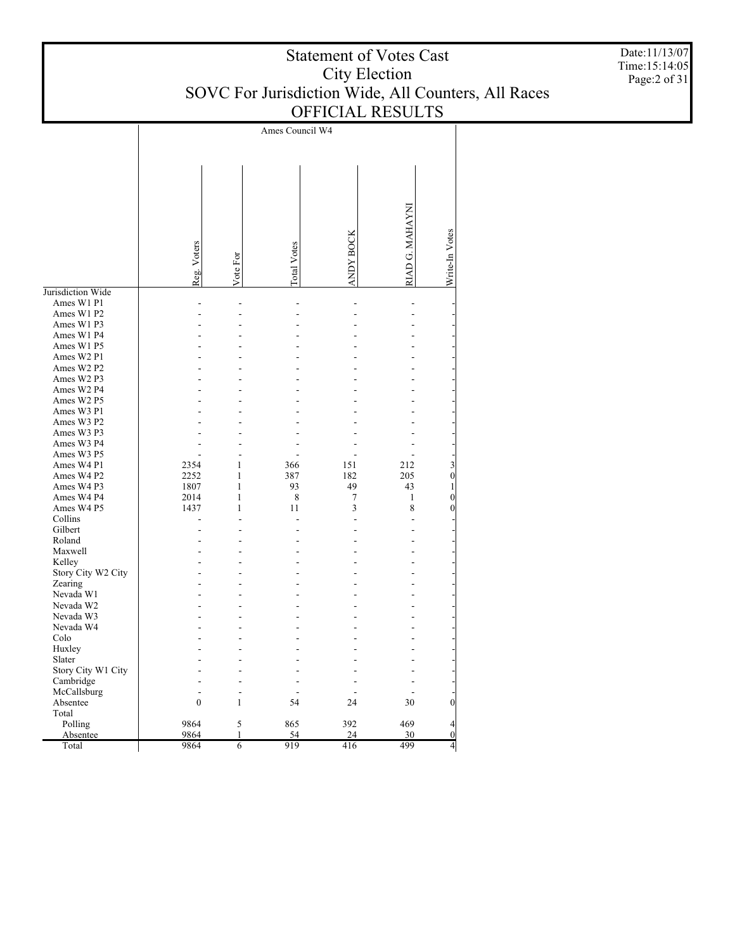| <b>Statement of Votes Cast</b>                      |
|-----------------------------------------------------|
| City Election                                       |
| SOVC For Jurisdiction Wide, All Counters, All Races |
| <b>OFFICIAL RESULTS</b>                             |

Ames Council W4 RIAD G. MAHAYNI RIAD G. MAHAYNI Write-In Votes ANDY BOC KWrite-In Votes Reg. Voters Total Votes Vote For Jurisdiction Wide Ames W1 P1 - - - - - - Ames W1 P2 - - - - - - Ames W1 P3 - - - - - - Ames W1 P4 - - - - - - Ames W1 P5 - - - - - - Ames W2 P1 - - - - - - Ames W2 P2 - - - - - - Ames W2 P3 - - - - - - Ames W2 P4 - - - - - - Ames W2 P5 - - - - - - Ames W3 P1 - - - - - - Ames W3 P2 - - - - - - Ames W3 P3 - - - - - - Ames W3 P4 - - - - - - Ames W3 P5 - - - - - - Ames W4 P1 2354 1 366 151 212 3 Ames W4 P2 2252 1 387 182 205 0 Ames W4 P3 1807 1 93 49 43 1 Ames W4 P4 2014 1 8 7 1 0 Ames W4 P5 1437 1 11 3 8 0 Collins - - - - - - Gilbert - - - - - - Roland - - - - - - Maxwell - - - - - - Kelley - - - - - - Story City W2 City - - - - - - Zearing - - - - - - Nevada W1 - - - - - - Nevada W2 - - - - - - Nevada W3 - - - - - - Nevada W4 - - - - - - Colo - - - - - - Huxley - - - - - - Slater - - - - - - Story City W1 City - - - - - - Cambridge - - - - - - McCallsburg - - - - - - Absentee 0 1 54 24 30 0 Total Polling 9864 5 865 392 469 4 Absentee 9864 1 54 24 30 0 Total 9864 6 919 416 499 4

Date:11/13/07 Time:15:14:05 Page:2 of 31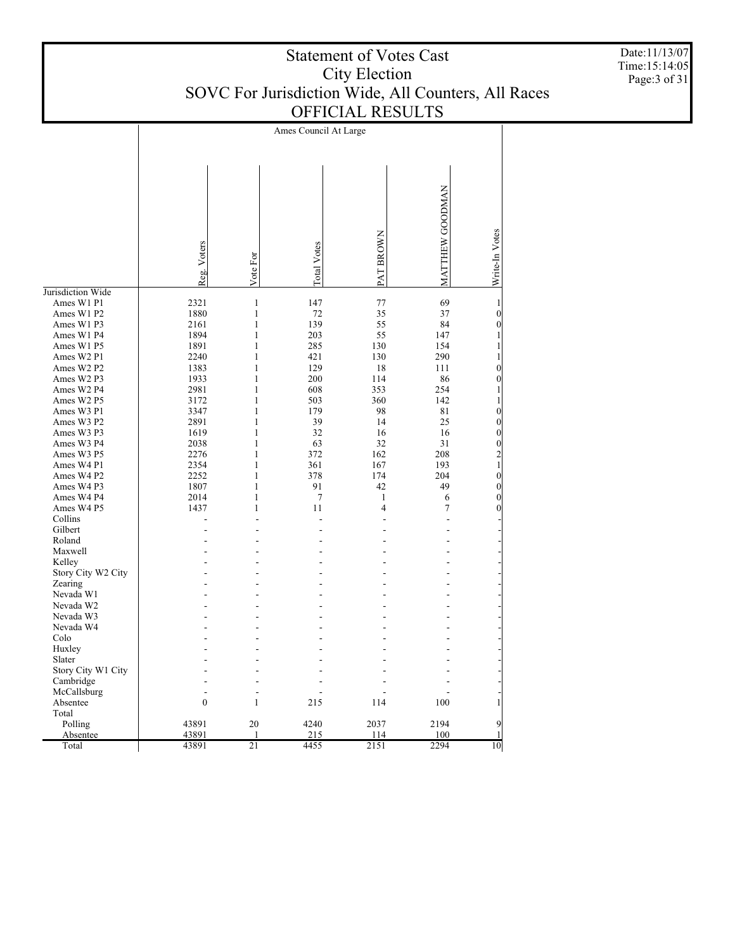|                          |                       |                              |             | <u>OLLIQIAL KEBOLI D</u> |                 |                                  |  |  |  |  |
|--------------------------|-----------------------|------------------------------|-------------|--------------------------|-----------------|----------------------------------|--|--|--|--|
|                          | Ames Council At Large |                              |             |                          |                 |                                  |  |  |  |  |
|                          |                       |                              |             |                          |                 |                                  |  |  |  |  |
|                          |                       |                              |             |                          |                 |                                  |  |  |  |  |
|                          |                       |                              |             |                          |                 |                                  |  |  |  |  |
|                          |                       |                              |             |                          |                 |                                  |  |  |  |  |
|                          |                       |                              |             |                          |                 |                                  |  |  |  |  |
|                          |                       |                              |             |                          |                 |                                  |  |  |  |  |
|                          |                       |                              |             |                          |                 |                                  |  |  |  |  |
|                          |                       |                              |             |                          |                 |                                  |  |  |  |  |
|                          |                       |                              |             |                          |                 |                                  |  |  |  |  |
|                          |                       |                              |             |                          |                 |                                  |  |  |  |  |
|                          |                       |                              | Total Votes |                          |                 |                                  |  |  |  |  |
|                          |                       |                              |             |                          |                 |                                  |  |  |  |  |
|                          | Reg. Voters           | Vote For                     |             | PAT BROWN                | MATTHEW GOODMAN | Write-In Votes                   |  |  |  |  |
| Jurisdiction Wide        |                       |                              |             |                          |                 |                                  |  |  |  |  |
| Ames W1 P1               | 2321                  | $\,1\,$                      | 147         | 77                       | 69              | 1                                |  |  |  |  |
| Ames W1 P2               | 1880                  | $\mathbf{1}$                 | $72\,$      | 35                       | 37              | $\mathbf{0}$                     |  |  |  |  |
| Ames W1 P3               | 2161                  | $\mathbf{1}$                 | 139         | 55                       | 84              | $\overline{0}$                   |  |  |  |  |
| Ames W1 P4               | 1894                  | $\mathbf{1}$                 | 203         | 55                       | 147             |                                  |  |  |  |  |
| Ames W1 P5               | 1891                  | $\mathbf{1}$                 | 285         | 130                      | 154             |                                  |  |  |  |  |
| Ames W2 P1               | 2240                  | $\mathbf{1}$                 | 421         | 130                      | 290             |                                  |  |  |  |  |
| Ames W2 P2               | 1383                  | $\mathbf{1}$                 | 129         | 18                       | 111             | $\overline{0}$                   |  |  |  |  |
| Ames W2 P3               | 1933                  | $\mathbf{1}$                 | 200         | 114                      | 86              | $\overline{0}$                   |  |  |  |  |
| Ames W2 P4               | 2981                  | $\mathbf{1}$                 | 608         | 353                      | 254             | 1                                |  |  |  |  |
| Ames W2 P5               | 3172                  | $\mathbf{1}$<br>$\mathbf{1}$ | 503<br>179  | 360<br>98                | 142             | 1                                |  |  |  |  |
| Ames W3 P1<br>Ames W3 P2 | 3347<br>2891          | $\mathbf{1}$                 | 39          | 14                       | 81<br>25        | $\boldsymbol{0}$<br>$\mathbf{0}$ |  |  |  |  |
| Ames W3 P3               | 1619                  | $\mathbf{1}$                 | 32          | 16                       | 16              | $\overline{0}$                   |  |  |  |  |
| Ames W3 P4               | 2038                  | $\mathbf{1}$                 | 63          | 32                       | 31              | $\boldsymbol{0}$                 |  |  |  |  |
| Ames W3 P5               | 2276                  | $\mathbf{1}$                 | 372         | 162                      | 208             |                                  |  |  |  |  |
| Ames W4 P1               | 2354                  | $\mathbf{1}$                 | 361         | 167                      | 193             | $\frac{2}{1}$                    |  |  |  |  |
| Ames W4 P2               | 2252                  | $\mathbf{1}$                 | 378         | 174                      | 204             | $\overline{0}$                   |  |  |  |  |
| Ames W4 P3               | 1807                  | $\mathbf{1}$                 | 91          | 42                       | 49              | $\overline{0}$                   |  |  |  |  |
| Ames W4 P4               | 2014                  | $\mathbf{1}$                 | $\tau$      | $\mathbf{1}$             | 6               | $\overline{0}$                   |  |  |  |  |
| Ames W4 P5               | 1437                  | $\mathbf{1}$                 | 11          | 4                        | 7               | $\theta$                         |  |  |  |  |
| Collins                  |                       |                              |             |                          |                 |                                  |  |  |  |  |
| Gilbert                  |                       |                              |             |                          |                 |                                  |  |  |  |  |
| Roland                   |                       |                              |             |                          |                 |                                  |  |  |  |  |
| Maxwell                  |                       |                              |             |                          |                 |                                  |  |  |  |  |
| Kelley                   |                       |                              |             |                          |                 |                                  |  |  |  |  |
| Story City W2 City       |                       |                              |             |                          |                 |                                  |  |  |  |  |
| Zearing                  |                       |                              |             |                          |                 |                                  |  |  |  |  |
| Nevada W1                |                       |                              |             |                          |                 |                                  |  |  |  |  |
| Nevada W2                |                       |                              |             |                          |                 |                                  |  |  |  |  |
| Nevada W3                |                       |                              |             |                          |                 |                                  |  |  |  |  |
| Nevada W4                |                       |                              |             |                          |                 |                                  |  |  |  |  |

- - - - - - - - - - - - - - - - - - - - - - - - - - - - - - - - - - - - - - - - - - 0 1 215 114 100 1 43891 20 4240 2037 2194 9 43891 1 215 114 100 1 43891 21 4455 2151 2294 10

 Colo Huxley Slater

 Story City W1 City Cambridge McCallsburg Absentee Total Polling Absentee Total

Date:11/13/07 Time:15:14:05 Page:3 of 31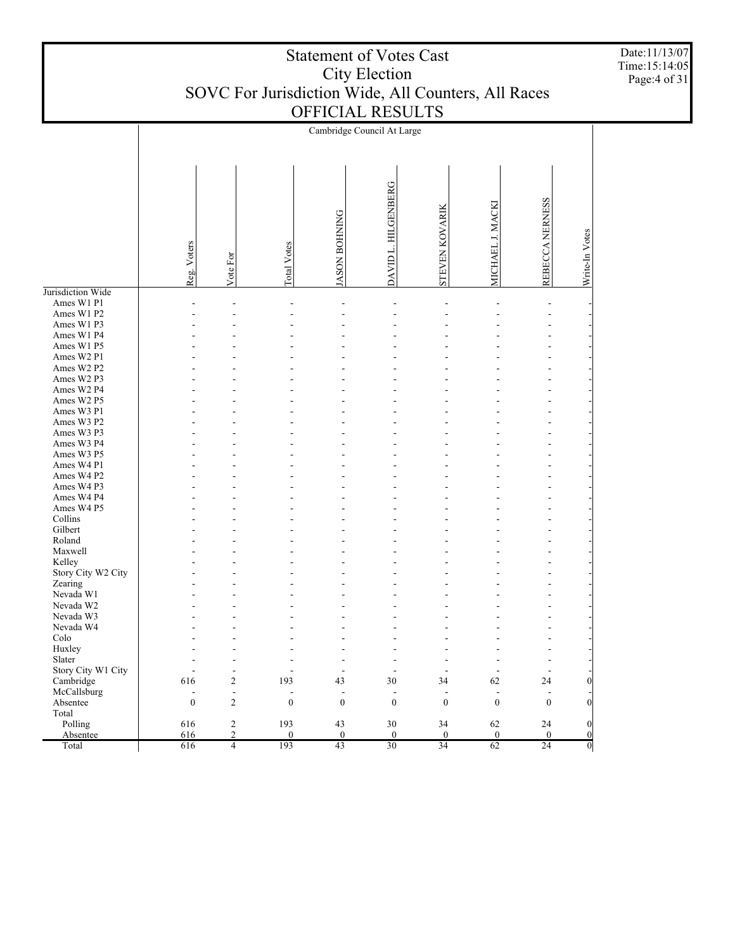| DAVID L. HILGENBERG<br>REBECCA NERNESS<br>MICHAEL J. MACKI<br><b>STEVEN KOVARIK</b><br><b>JASON BOHNING</b><br>Write-In Votes<br>Reg. Voters<br>Total Votes<br>Vote For<br>Jurisdiction Wide<br>Ames W1 P1<br>÷<br>$\overline{a}$<br>$\overline{a}$<br>$\overline{a}$<br>Ames W1 P2<br>Ames W1 P3<br>Ames W1 P4<br>Ames W1 P5<br>Ames W2 P1<br>Ames W2 P2<br>Ames W2 P3<br>Ames W2 P4<br>Ames W2 P5<br>Ames W3 P1<br>Ames W3 P2<br>Ames W3 P3<br>Ames W3 P4<br>Ames W3 P5<br>Ames W4 P1<br>Ames W4 P2<br>Ames W4 P3<br>Ames W4 P4<br>Ames W4 P5<br>Collins<br>Gilbert<br>Roland<br>Maxwell<br>Kelley<br>Story City W2 City<br>Zearing<br>Nevada W1<br>Nevada W2<br>Nevada W3<br>Nevada W4<br>Colo<br>Huxley<br>Slater<br>Story City W1 City<br>L,<br>$\overline{\phantom{a}}$<br>$\overline{\phantom{a}}$<br>L,<br>L,<br>$\overline{\phantom{a}}$<br>616<br>$\sqrt{2}$<br>193<br>Cambridge<br>43<br>30<br>34<br>62<br>24<br>$\overline{0}$<br>McCallsburg<br>$\Box$<br>Ĭ.<br>Ĭ.<br>L,<br>L,<br>L,<br>$\overline{a}$<br>$\overline{a}$<br>$\boldsymbol{0}$<br>$\overline{2}$<br>$\mathbf{0}$<br>$\mathbf{0}$<br>$\mathbf{0}$<br>$\mathbf{0}$<br>$\overline{0}$<br>$\mathbf{0}$<br>$\overline{0}$<br>Absentee<br>Total<br>$\sqrt{2}$<br>Polling<br>616<br>193<br>43<br>30<br>62<br>24<br>34<br>$\vert 0 \vert$<br>$\overline{c}$<br>$\theta$<br>$\theta$<br>$\theta$<br>$\boldsymbol{0}$<br>616<br>$\theta$<br>$\boldsymbol{0}$<br>$\boldsymbol{0}$<br>Absentee<br>43<br>30<br>34<br>24<br>Total<br>616<br>$\overline{4}$<br>193<br>62<br>$\overline{0}$ |  |  | Cambridge Council At Large |  |  |
|--------------------------------------------------------------------------------------------------------------------------------------------------------------------------------------------------------------------------------------------------------------------------------------------------------------------------------------------------------------------------------------------------------------------------------------------------------------------------------------------------------------------------------------------------------------------------------------------------------------------------------------------------------------------------------------------------------------------------------------------------------------------------------------------------------------------------------------------------------------------------------------------------------------------------------------------------------------------------------------------------------------------------------------------------------------------------------------------------------------------------------------------------------------------------------------------------------------------------------------------------------------------------------------------------------------------------------------------------------------------------------------------------------------------------------------------------------------------------------------------------------------------------------------------------------|--|--|----------------------------|--|--|
|                                                                                                                                                                                                                                                                                                                                                                                                                                                                                                                                                                                                                                                                                                                                                                                                                                                                                                                                                                                                                                                                                                                                                                                                                                                                                                                                                                                                                                                                                                                                                        |  |  |                            |  |  |
|                                                                                                                                                                                                                                                                                                                                                                                                                                                                                                                                                                                                                                                                                                                                                                                                                                                                                                                                                                                                                                                                                                                                                                                                                                                                                                                                                                                                                                                                                                                                                        |  |  |                            |  |  |
|                                                                                                                                                                                                                                                                                                                                                                                                                                                                                                                                                                                                                                                                                                                                                                                                                                                                                                                                                                                                                                                                                                                                                                                                                                                                                                                                                                                                                                                                                                                                                        |  |  |                            |  |  |
|                                                                                                                                                                                                                                                                                                                                                                                                                                                                                                                                                                                                                                                                                                                                                                                                                                                                                                                                                                                                                                                                                                                                                                                                                                                                                                                                                                                                                                                                                                                                                        |  |  |                            |  |  |
|                                                                                                                                                                                                                                                                                                                                                                                                                                                                                                                                                                                                                                                                                                                                                                                                                                                                                                                                                                                                                                                                                                                                                                                                                                                                                                                                                                                                                                                                                                                                                        |  |  |                            |  |  |
|                                                                                                                                                                                                                                                                                                                                                                                                                                                                                                                                                                                                                                                                                                                                                                                                                                                                                                                                                                                                                                                                                                                                                                                                                                                                                                                                                                                                                                                                                                                                                        |  |  |                            |  |  |
|                                                                                                                                                                                                                                                                                                                                                                                                                                                                                                                                                                                                                                                                                                                                                                                                                                                                                                                                                                                                                                                                                                                                                                                                                                                                                                                                                                                                                                                                                                                                                        |  |  |                            |  |  |
|                                                                                                                                                                                                                                                                                                                                                                                                                                                                                                                                                                                                                                                                                                                                                                                                                                                                                                                                                                                                                                                                                                                                                                                                                                                                                                                                                                                                                                                                                                                                                        |  |  |                            |  |  |
|                                                                                                                                                                                                                                                                                                                                                                                                                                                                                                                                                                                                                                                                                                                                                                                                                                                                                                                                                                                                                                                                                                                                                                                                                                                                                                                                                                                                                                                                                                                                                        |  |  |                            |  |  |
|                                                                                                                                                                                                                                                                                                                                                                                                                                                                                                                                                                                                                                                                                                                                                                                                                                                                                                                                                                                                                                                                                                                                                                                                                                                                                                                                                                                                                                                                                                                                                        |  |  |                            |  |  |
|                                                                                                                                                                                                                                                                                                                                                                                                                                                                                                                                                                                                                                                                                                                                                                                                                                                                                                                                                                                                                                                                                                                                                                                                                                                                                                                                                                                                                                                                                                                                                        |  |  |                            |  |  |
|                                                                                                                                                                                                                                                                                                                                                                                                                                                                                                                                                                                                                                                                                                                                                                                                                                                                                                                                                                                                                                                                                                                                                                                                                                                                                                                                                                                                                                                                                                                                                        |  |  |                            |  |  |
|                                                                                                                                                                                                                                                                                                                                                                                                                                                                                                                                                                                                                                                                                                                                                                                                                                                                                                                                                                                                                                                                                                                                                                                                                                                                                                                                                                                                                                                                                                                                                        |  |  |                            |  |  |
|                                                                                                                                                                                                                                                                                                                                                                                                                                                                                                                                                                                                                                                                                                                                                                                                                                                                                                                                                                                                                                                                                                                                                                                                                                                                                                                                                                                                                                                                                                                                                        |  |  |                            |  |  |
|                                                                                                                                                                                                                                                                                                                                                                                                                                                                                                                                                                                                                                                                                                                                                                                                                                                                                                                                                                                                                                                                                                                                                                                                                                                                                                                                                                                                                                                                                                                                                        |  |  |                            |  |  |
|                                                                                                                                                                                                                                                                                                                                                                                                                                                                                                                                                                                                                                                                                                                                                                                                                                                                                                                                                                                                                                                                                                                                                                                                                                                                                                                                                                                                                                                                                                                                                        |  |  |                            |  |  |
|                                                                                                                                                                                                                                                                                                                                                                                                                                                                                                                                                                                                                                                                                                                                                                                                                                                                                                                                                                                                                                                                                                                                                                                                                                                                                                                                                                                                                                                                                                                                                        |  |  |                            |  |  |
|                                                                                                                                                                                                                                                                                                                                                                                                                                                                                                                                                                                                                                                                                                                                                                                                                                                                                                                                                                                                                                                                                                                                                                                                                                                                                                                                                                                                                                                                                                                                                        |  |  |                            |  |  |
|                                                                                                                                                                                                                                                                                                                                                                                                                                                                                                                                                                                                                                                                                                                                                                                                                                                                                                                                                                                                                                                                                                                                                                                                                                                                                                                                                                                                                                                                                                                                                        |  |  |                            |  |  |
|                                                                                                                                                                                                                                                                                                                                                                                                                                                                                                                                                                                                                                                                                                                                                                                                                                                                                                                                                                                                                                                                                                                                                                                                                                                                                                                                                                                                                                                                                                                                                        |  |  |                            |  |  |
|                                                                                                                                                                                                                                                                                                                                                                                                                                                                                                                                                                                                                                                                                                                                                                                                                                                                                                                                                                                                                                                                                                                                                                                                                                                                                                                                                                                                                                                                                                                                                        |  |  |                            |  |  |
|                                                                                                                                                                                                                                                                                                                                                                                                                                                                                                                                                                                                                                                                                                                                                                                                                                                                                                                                                                                                                                                                                                                                                                                                                                                                                                                                                                                                                                                                                                                                                        |  |  |                            |  |  |
|                                                                                                                                                                                                                                                                                                                                                                                                                                                                                                                                                                                                                                                                                                                                                                                                                                                                                                                                                                                                                                                                                                                                                                                                                                                                                                                                                                                                                                                                                                                                                        |  |  |                            |  |  |
|                                                                                                                                                                                                                                                                                                                                                                                                                                                                                                                                                                                                                                                                                                                                                                                                                                                                                                                                                                                                                                                                                                                                                                                                                                                                                                                                                                                                                                                                                                                                                        |  |  |                            |  |  |
|                                                                                                                                                                                                                                                                                                                                                                                                                                                                                                                                                                                                                                                                                                                                                                                                                                                                                                                                                                                                                                                                                                                                                                                                                                                                                                                                                                                                                                                                                                                                                        |  |  |                            |  |  |
|                                                                                                                                                                                                                                                                                                                                                                                                                                                                                                                                                                                                                                                                                                                                                                                                                                                                                                                                                                                                                                                                                                                                                                                                                                                                                                                                                                                                                                                                                                                                                        |  |  |                            |  |  |
|                                                                                                                                                                                                                                                                                                                                                                                                                                                                                                                                                                                                                                                                                                                                                                                                                                                                                                                                                                                                                                                                                                                                                                                                                                                                                                                                                                                                                                                                                                                                                        |  |  |                            |  |  |
|                                                                                                                                                                                                                                                                                                                                                                                                                                                                                                                                                                                                                                                                                                                                                                                                                                                                                                                                                                                                                                                                                                                                                                                                                                                                                                                                                                                                                                                                                                                                                        |  |  |                            |  |  |
|                                                                                                                                                                                                                                                                                                                                                                                                                                                                                                                                                                                                                                                                                                                                                                                                                                                                                                                                                                                                                                                                                                                                                                                                                                                                                                                                                                                                                                                                                                                                                        |  |  |                            |  |  |
|                                                                                                                                                                                                                                                                                                                                                                                                                                                                                                                                                                                                                                                                                                                                                                                                                                                                                                                                                                                                                                                                                                                                                                                                                                                                                                                                                                                                                                                                                                                                                        |  |  |                            |  |  |
|                                                                                                                                                                                                                                                                                                                                                                                                                                                                                                                                                                                                                                                                                                                                                                                                                                                                                                                                                                                                                                                                                                                                                                                                                                                                                                                                                                                                                                                                                                                                                        |  |  |                            |  |  |
|                                                                                                                                                                                                                                                                                                                                                                                                                                                                                                                                                                                                                                                                                                                                                                                                                                                                                                                                                                                                                                                                                                                                                                                                                                                                                                                                                                                                                                                                                                                                                        |  |  |                            |  |  |
|                                                                                                                                                                                                                                                                                                                                                                                                                                                                                                                                                                                                                                                                                                                                                                                                                                                                                                                                                                                                                                                                                                                                                                                                                                                                                                                                                                                                                                                                                                                                                        |  |  |                            |  |  |
|                                                                                                                                                                                                                                                                                                                                                                                                                                                                                                                                                                                                                                                                                                                                                                                                                                                                                                                                                                                                                                                                                                                                                                                                                                                                                                                                                                                                                                                                                                                                                        |  |  |                            |  |  |
|                                                                                                                                                                                                                                                                                                                                                                                                                                                                                                                                                                                                                                                                                                                                                                                                                                                                                                                                                                                                                                                                                                                                                                                                                                                                                                                                                                                                                                                                                                                                                        |  |  |                            |  |  |
|                                                                                                                                                                                                                                                                                                                                                                                                                                                                                                                                                                                                                                                                                                                                                                                                                                                                                                                                                                                                                                                                                                                                                                                                                                                                                                                                                                                                                                                                                                                                                        |  |  |                            |  |  |
|                                                                                                                                                                                                                                                                                                                                                                                                                                                                                                                                                                                                                                                                                                                                                                                                                                                                                                                                                                                                                                                                                                                                                                                                                                                                                                                                                                                                                                                                                                                                                        |  |  |                            |  |  |
|                                                                                                                                                                                                                                                                                                                                                                                                                                                                                                                                                                                                                                                                                                                                                                                                                                                                                                                                                                                                                                                                                                                                                                                                                                                                                                                                                                                                                                                                                                                                                        |  |  |                            |  |  |
|                                                                                                                                                                                                                                                                                                                                                                                                                                                                                                                                                                                                                                                                                                                                                                                                                                                                                                                                                                                                                                                                                                                                                                                                                                                                                                                                                                                                                                                                                                                                                        |  |  |                            |  |  |
|                                                                                                                                                                                                                                                                                                                                                                                                                                                                                                                                                                                                                                                                                                                                                                                                                                                                                                                                                                                                                                                                                                                                                                                                                                                                                                                                                                                                                                                                                                                                                        |  |  |                            |  |  |
|                                                                                                                                                                                                                                                                                                                                                                                                                                                                                                                                                                                                                                                                                                                                                                                                                                                                                                                                                                                                                                                                                                                                                                                                                                                                                                                                                                                                                                                                                                                                                        |  |  |                            |  |  |
|                                                                                                                                                                                                                                                                                                                                                                                                                                                                                                                                                                                                                                                                                                                                                                                                                                                                                                                                                                                                                                                                                                                                                                                                                                                                                                                                                                                                                                                                                                                                                        |  |  |                            |  |  |
|                                                                                                                                                                                                                                                                                                                                                                                                                                                                                                                                                                                                                                                                                                                                                                                                                                                                                                                                                                                                                                                                                                                                                                                                                                                                                                                                                                                                                                                                                                                                                        |  |  |                            |  |  |
|                                                                                                                                                                                                                                                                                                                                                                                                                                                                                                                                                                                                                                                                                                                                                                                                                                                                                                                                                                                                                                                                                                                                                                                                                                                                                                                                                                                                                                                                                                                                                        |  |  |                            |  |  |
|                                                                                                                                                                                                                                                                                                                                                                                                                                                                                                                                                                                                                                                                                                                                                                                                                                                                                                                                                                                                                                                                                                                                                                                                                                                                                                                                                                                                                                                                                                                                                        |  |  |                            |  |  |
|                                                                                                                                                                                                                                                                                                                                                                                                                                                                                                                                                                                                                                                                                                                                                                                                                                                                                                                                                                                                                                                                                                                                                                                                                                                                                                                                                                                                                                                                                                                                                        |  |  |                            |  |  |
|                                                                                                                                                                                                                                                                                                                                                                                                                                                                                                                                                                                                                                                                                                                                                                                                                                                                                                                                                                                                                                                                                                                                                                                                                                                                                                                                                                                                                                                                                                                                                        |  |  |                            |  |  |

Date:11/13/07 Time:15:14:05 Page:4 of 31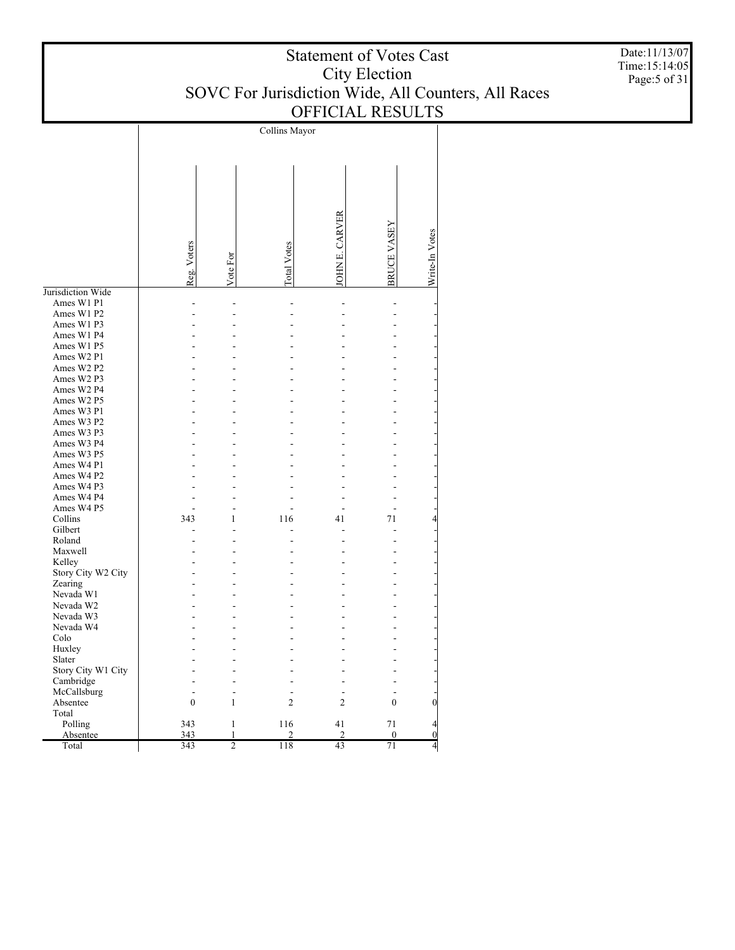| <b>Statement of Votes Cast</b>                      |
|-----------------------------------------------------|
| City Election                                       |
| SOVC For Jurisdiction Wide, All Counters, All Races |
| <b>OFFICIAL RESULTS</b>                             |

Collins Mayor JOHN E. CARVER JOHN E. CARVE BRUCE VASEY Write-In Votes Write-In Votes Reg. Voters Total Votes Vote For Jurisdiction Wide Ames W1 P1 - - - - - - Ames W1 P2 - - - - - - Ames W1 P3 - - - - - - Ames W1 P4 - - - - - - Ames W1 P5 - - - - - - Ames W2 P1 - - - - - - Ames W2 P2 - - - - - - Ames W2 P3 - - - - - - Ames W2 P4 - - - - - - Ames W2 P5 - - - - - - Ames W3 P1 - - - - - - Ames W3 P2 - - - - - - Ames W3 P3 - - - - - - Ames W3 P4 - - - - - - Ames W3 P5 - - - - - - Ames W4 P1 - - - - - - Ames W4 P2 - - - - - - Ames W4 P3 - - - - - - Ames W4 P4 - - - - - - Ames W4 P5 - - - - - - Collins 343 1 116 41 71 4 Gilbert - - - - - - Roland - - - - - - Maxwell - - - - - - Kelley - - - - - - Story City W2 City - - - - - - Zearing - - - - - - Nevada W1 - - - - - - Nevada W2 - - - - - - Nevada W3 - - - - - - Nevada W4 - - - - - - Colo - - - - - - Huxley - - - - - - Slater - - - - - - Story City W1 City - - - - - - Cambridge - - - - - - McCallsburg - - - - - - Absentee 0 1 2 2 0 0 Total Polling 343 1 116 41 71 4 Absentee 343 1 2 2 0 0

343 2 118 43 71 4

Total

Date:11/13/07 Time:15:14:05 Page:5 of 31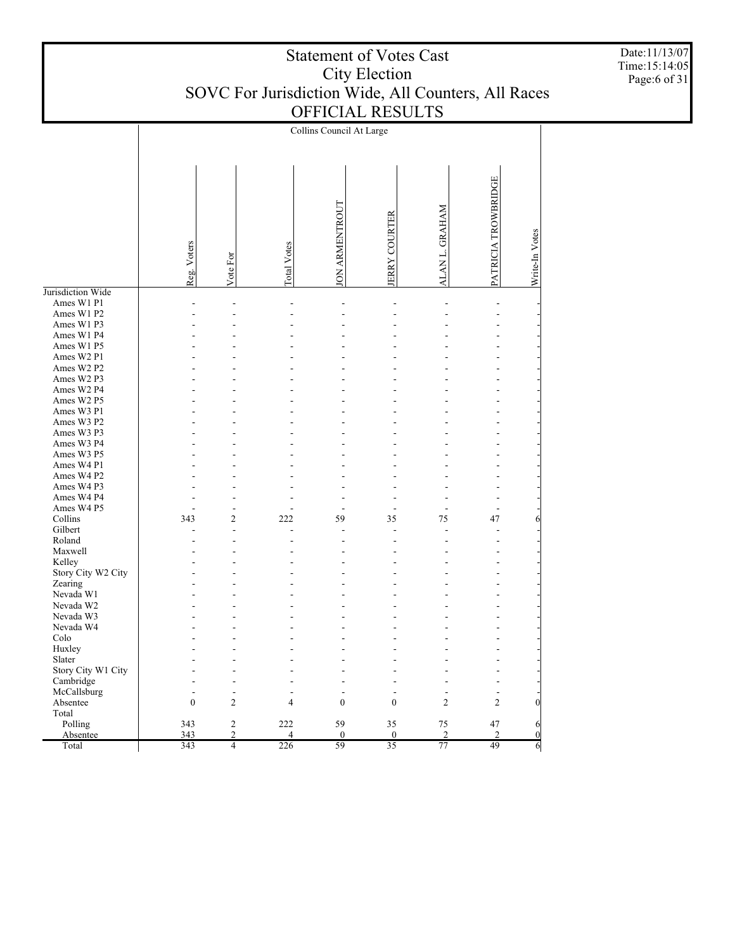|                          |              |                |                    | Collins Council At Large |                     |                 |                     |                       |
|--------------------------|--------------|----------------|--------------------|--------------------------|---------------------|-----------------|---------------------|-----------------------|
|                          |              |                |                    |                          |                     |                 |                     |                       |
|                          |              |                |                    |                          |                     |                 |                     |                       |
|                          |              |                |                    |                          |                     |                 |                     |                       |
|                          |              |                |                    |                          |                     |                 |                     |                       |
|                          |              |                |                    |                          |                     |                 | PATRICIA TROWBRIDGE |                       |
|                          |              |                |                    |                          |                     |                 |                     |                       |
|                          |              |                |                    |                          |                     |                 |                     |                       |
|                          |              |                |                    |                          |                     |                 |                     |                       |
|                          |              |                |                    |                          |                     |                 |                     |                       |
|                          |              |                |                    |                          |                     |                 |                     |                       |
|                          |              |                |                    |                          |                     |                 |                     |                       |
|                          | Reg. Voters  | Vote For       | <b>Total Votes</b> | <b>JON ARMENTROUT</b>    | <b>ERRY COURTER</b> | ALAN L. GRAHAM  |                     | Write-In Votes        |
|                          |              |                |                    |                          |                     |                 |                     |                       |
| Jurisdiction Wide        |              |                |                    |                          |                     |                 |                     |                       |
| Ames W1 P1               |              |                |                    |                          |                     |                 | $\overline{a}$      |                       |
| Ames W1 P2               |              |                |                    |                          |                     |                 |                     |                       |
| Ames W1 P3               |              |                |                    |                          |                     |                 |                     |                       |
| Ames W1 P4<br>Ames W1 P5 |              |                |                    |                          |                     |                 |                     |                       |
| Ames W2 P1               |              |                |                    |                          |                     |                 |                     |                       |
| Ames W2 P2               |              |                |                    |                          |                     |                 |                     |                       |
| Ames W2 P3               |              |                |                    |                          |                     |                 |                     |                       |
| Ames W2 P4               |              |                |                    |                          |                     |                 |                     |                       |
| Ames W2 P5               |              |                |                    |                          |                     |                 |                     |                       |
| Ames W3 P1               |              |                |                    |                          |                     |                 |                     |                       |
| Ames W3 P2               |              |                |                    |                          |                     |                 |                     |                       |
| Ames W3 P3               |              |                |                    |                          |                     |                 |                     |                       |
| Ames W3 P4               |              |                |                    |                          |                     |                 |                     |                       |
| Ames W3 P5               |              |                |                    |                          |                     |                 |                     |                       |
| Ames W4 P1               |              |                |                    |                          |                     |                 |                     |                       |
| Ames W4 P2               |              |                |                    |                          |                     |                 |                     |                       |
| Ames W4 P3               |              |                |                    |                          |                     |                 |                     |                       |
| Ames W4 P4               |              |                |                    |                          |                     |                 |                     |                       |
| Ames W4 P5               | Ĭ.           | Ĭ.             |                    |                          | L,                  |                 | $\overline{a}$      |                       |
| Collins                  | 343          | $\overline{c}$ | 222                | 59                       | 35                  | 75              | 47                  | 6                     |
| Gilbert                  |              |                |                    |                          |                     |                 | $\overline{a}$      |                       |
| Roland                   |              |                |                    |                          |                     |                 |                     |                       |
| Maxwell                  |              |                |                    |                          |                     |                 |                     |                       |
| Kelley                   |              |                |                    |                          |                     |                 |                     |                       |
| Story City W2 City       |              |                |                    |                          |                     |                 |                     |                       |
| Zearing                  |              |                |                    |                          |                     |                 |                     |                       |
| Nevada W1                |              |                |                    |                          |                     |                 |                     |                       |
| Nevada W2                |              |                |                    |                          |                     |                 |                     |                       |
| Nevada W3                |              |                |                    |                          |                     |                 |                     |                       |
| Nevada W4                |              |                |                    |                          |                     |                 |                     |                       |
| $\rm{Colo}$              |              |                |                    |                          |                     |                 |                     |                       |
| Huxley                   |              |                |                    |                          |                     |                 |                     |                       |
| Slater                   |              |                |                    |                          |                     |                 |                     |                       |
| Story City W1 City       |              |                |                    |                          |                     |                 |                     |                       |
| Cambridge                |              |                |                    |                          |                     |                 | $\overline{a}$      |                       |
| McCallsburg              | J.           | $\overline{a}$ |                    |                          | L,                  |                 | L,                  |                       |
| Absentee                 | $\mathbf{0}$ | $\overline{c}$ | 4                  | $\boldsymbol{0}$         | $\mathbf{0}$        | $\overline{c}$  | $\overline{c}$      | $\boldsymbol{0}$      |
| Total<br>Polling         | 343          | $\overline{c}$ | 222                | 59                       | 35                  | 75              | 47                  |                       |
| Absentee                 | 343          | $\overline{c}$ | $\overline{4}$     | $\mathbf{0}$             | $\mathbf{0}$        | $\overline{2}$  | $\overline{2}$      | 6<br>$\boldsymbol{0}$ |
| Total                    | 343          | $\overline{4}$ | 226                | 59                       | $\overline{35}$     | $\overline{77}$ | 49                  | 6                     |
|                          |              |                |                    |                          |                     |                 |                     |                       |

Date:11/13/07 Time:15:14:05 Page:6 of 31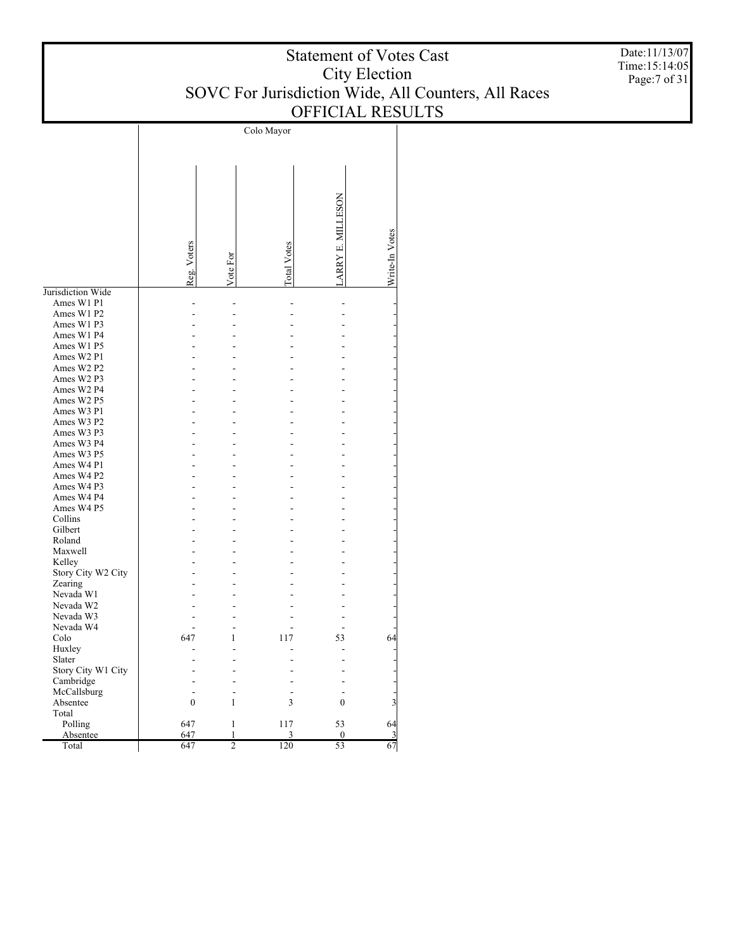| <b>Statement of Votes Cast</b>                      |
|-----------------------------------------------------|
| City Election                                       |
| SOVC For Jurisdiction Wide, All Counters, All Races |
| <b>OFFICIAL RESULTS</b>                             |

Colo Mayor LARRY E. MILLESON LARRY E. MILLESON Write-In Votes Write-In Votes Reg. Voters Total Votes Vote For Jurisdiction Wide Ames W1 P1 - - - - - Ames W1 P2 - - - - - Ames W1 P3 - - - - - Ames W1 P4 - - - - - Ames W1 P5 - - - - - Ames W2 P1 - - - - - Ames W2 P2 - - - - - Ames W2 P3 - - - - - Ames W2 P4 - - - - - Ames W2 P5 - - - - - Ames W3 P1 - - - - - Ames W3 P2 - - - - - Ames W3 P3 - - - - - Ames W3 P4 - - - - - Ames W3 P5 - - - - - Ames W4 P1 - - - - - Ames W4 P2 - - - - - Ames W4 P3 - - - - - Ames W4 P4 - - - - - Ames W4 P5 - - - - - Collins - - - - - Gilbert - - - - - Roland - - - - - Maxwell - - - - - Kelley - - - - - Story City W2 City - - - - - Zearing - - - - - Nevada W1 - - - - - Nevada W2 - - - - - Nevada W3 - - - - - Nevada W4 - - - - - Colo 647 1 117 53 64 Huxley - - - - - Slater - - - - - Story City W1 City - - - - - Cambridge - - - - - McCallsburg - - - - - Absentee 0 1 3 0 3 Total Polling 647 1 117 53 64 Absentee 647 1 3 0 3 Total 647 2 120 53 67

Date:11/13/07 Time:15:14:05 Page:7 of 31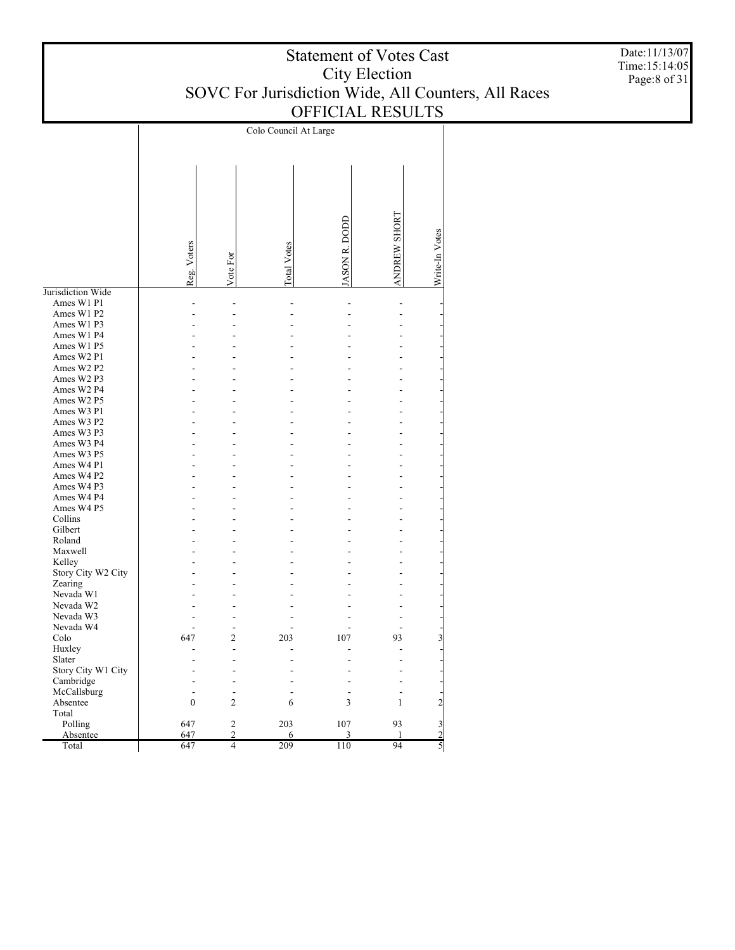| <b>Statement of Votes Cast</b>                      |
|-----------------------------------------------------|
| City Election                                       |
| SOVC For Jurisdiction Wide, All Counters, All Races |
| <b>OFFICIAL RESULTS</b>                             |

Colo Council At Large ANDREW SHORT ANDREW SHORT JASON R. DODD JASON R. DODD Write-In Votes Write-In Votes Reg. Voters Total Votes Vote For Jurisdiction Wide Ames W1 P1 - - - - - - Ames W1 P2 - - - - - - Ames W1 P3 - - - - - - Ames W1 P4 - - - - - - Ames W1 P5 - - - - - - Ames W2 P1 - - - - - - Ames W2 P2 - - - - - - Ames W2 P3 - - - - - - Ames W2 P4 - - - - - - Ames W2 P5 - - - - - - Ames W3 P1 - - - - - - Ames W3 P2 - - - - - - Ames W3 P3 - - - - - - Ames W3 P4 - - - - - - Ames W3 P5 - - - - - - Ames W4 P1 - - - - - - Ames W4 P2 - - - - - - Ames W4 P3 - - - - - - Ames W4 P4 - - - - - - Ames W4 P5 - - - - - - Collins - - - - - - Gilbert - - - - - - Roland - - - - - - Maxwell - - - - - - Kelley - - - - - - Story City W2 City - - - - - - Zearing - - - - - - Nevada W1 - - - - - - Nevada W2 - - - - - - Nevada W3 - - - - - - Nevada W4 - - - - - - Colo 647 2 203 107 93 3 Huxley - - - - - - Slater - - - - - - Story City W1 City - - - - - - Cambridge - - - - - - McCallsburg - - - - - - Absentee 0 2 6 3 1 2 Total Polling 647 2 203 107 93 3 Absentee 647 2 6 3 1 2 Total

647 4 209 110 94 5

Date:11/13/07 Time:15:14:05 Page:8 of 31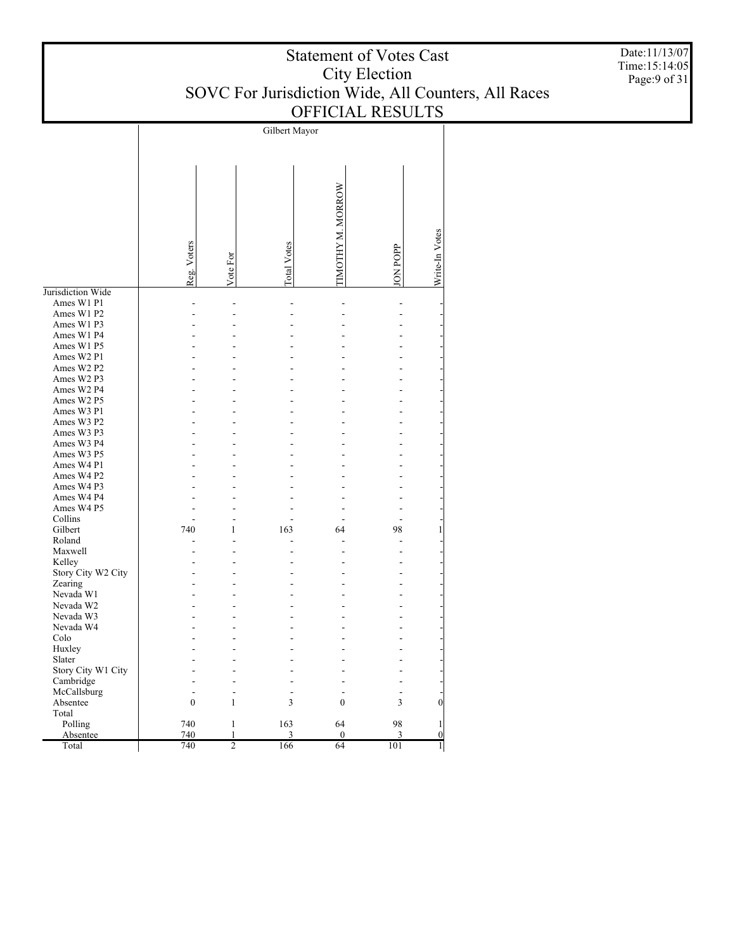| <b>Statement of Votes Cast</b>                      |
|-----------------------------------------------------|
| City Election                                       |
| SOVC For Jurisdiction Wide, All Counters, All Races |
| <b>OFFICIAL RESULTS</b>                             |

Gilbert Mayor TIMOTHY M. MORROW TIMOTHY M. MORROW Write-In Votes Write-In Votes Reg. Voters Total Votes JON POPP Vote For Jurisdiction Wide Ames W1 P1 - - - - - - Ames W1 P2 - - - - - - Ames W1 P3 - - - - - - Ames W1 P4 - - - - - - Ames W1 P5 - - - - - - Ames W2 P1 - - - - - - Ames W2 P2 - - - - - - Ames W2 P3 - - - - - - Ames W2 P4 - - - - - - Ames W2 P5 - - - - - - Ames W3 P1 - - - - - - Ames W3 P2 - - - - - - Ames W3 P3 - - - - - - Ames W3 P4 - - - - - - Ames W3 P5 - - - - - - Ames W4 P1 - - - - - - Ames W4 P2 - - - - - - Ames W4 P3 - - - - - - Ames W4 P4 - - - - - - Ames W4 P5 - - - - - - Collins - - - - - - Gilbert 740 1 163 64 98 1 Roland - - - - - - Maxwell - - - - - - Kelley - - - - - - Story City W2 City - - - - - - Zearing - - - - - - Nevada W1 - - - - - - Nevada W2 - - - - - - Nevada W3 - - - - - - Nevada W4 - - - - - - Colo - - - - - - Huxley - - - - - - Slater - - - - - - Story City W1 City - - - - - - Cambridge - - - - - - McCallsburg - - - - - - Absentee 0 1 3 0 3 0 Total Polling 740 1 163 64 98 1 Absentee 740 1 3 0 3 0 Total 740 2 166 64 101 1

Date:11/13/07 Time:15:14:05 Page:9 of 31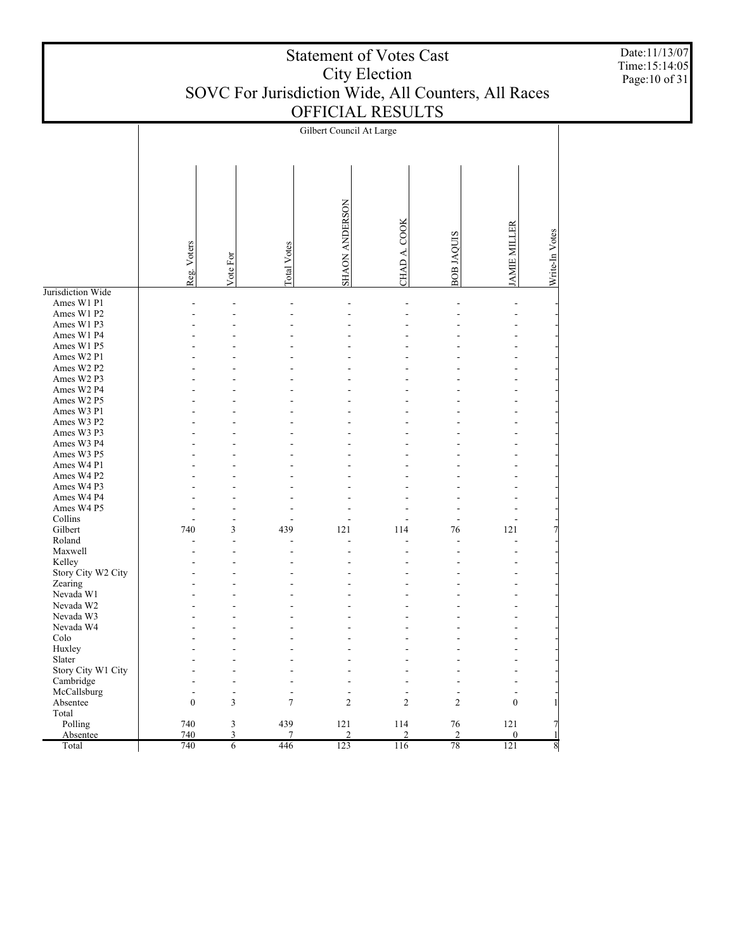|                          | Gilbert Council At Large |                |                    |                       |                |                |                          |                  |  |  |  |
|--------------------------|--------------------------|----------------|--------------------|-----------------------|----------------|----------------|--------------------------|------------------|--|--|--|
|                          |                          |                |                    |                       |                |                |                          |                  |  |  |  |
|                          |                          |                |                    | <b>SHAON ANDERSON</b> | CHAD A. COOK   |                | <b>JAMIE MILLER</b>      |                  |  |  |  |
|                          | Reg. Voters              | Vote For       | <b>Total Votes</b> |                       |                | BOB JAQUIS     |                          | Write-In Votes   |  |  |  |
|                          |                          |                |                    |                       |                |                |                          |                  |  |  |  |
| Jurisdiction Wide        |                          |                |                    |                       |                |                |                          |                  |  |  |  |
| Ames W1 P1               |                          |                |                    |                       |                |                |                          |                  |  |  |  |
| Ames W1 P2               |                          |                |                    |                       |                |                |                          |                  |  |  |  |
| Ames W1 P3               |                          |                |                    |                       |                |                |                          |                  |  |  |  |
| Ames W1 P4               |                          |                |                    |                       |                |                |                          |                  |  |  |  |
| Ames W1 P5               |                          |                |                    |                       |                |                |                          |                  |  |  |  |
| Ames W2 P1               |                          |                |                    |                       |                |                |                          |                  |  |  |  |
| Ames W2 P2               |                          |                |                    |                       |                |                |                          |                  |  |  |  |
| Ames W2 P3               |                          |                |                    |                       |                |                |                          |                  |  |  |  |
| Ames W2 P4               |                          |                |                    |                       |                |                |                          |                  |  |  |  |
| Ames W2 P5               |                          |                |                    |                       |                |                |                          |                  |  |  |  |
| Ames W3 P1               |                          |                |                    |                       |                |                |                          |                  |  |  |  |
| Ames W3 P2               |                          |                |                    |                       |                |                |                          |                  |  |  |  |
| Ames W3 P3<br>Ames W3 P4 |                          |                |                    |                       |                |                |                          |                  |  |  |  |
| Ames W3 P5               |                          |                |                    |                       |                |                |                          |                  |  |  |  |
| Ames W4 P1               |                          |                |                    |                       |                |                |                          |                  |  |  |  |
| Ames W4 P2               |                          |                |                    |                       |                |                |                          |                  |  |  |  |
| Ames W4 P3               |                          |                |                    |                       |                |                |                          |                  |  |  |  |
| Ames W4 P4               |                          |                |                    |                       |                |                |                          |                  |  |  |  |
| Ames W4 P5               |                          |                |                    |                       |                |                |                          |                  |  |  |  |
| Collins                  |                          |                |                    |                       |                |                |                          |                  |  |  |  |
| Gilbert                  | 740                      | 3              | 439                | 121                   | 114            | 76             | 121                      | $\overline{7}$   |  |  |  |
| Roland                   |                          |                |                    |                       |                |                |                          |                  |  |  |  |
| Maxwell                  |                          |                |                    |                       |                |                |                          |                  |  |  |  |
| Kelley                   |                          |                |                    |                       |                |                |                          |                  |  |  |  |
| Story City W2 City       |                          |                |                    |                       |                |                |                          |                  |  |  |  |
| Zearing                  |                          |                |                    |                       |                |                |                          |                  |  |  |  |
| Nevada W1                |                          |                |                    |                       |                |                |                          |                  |  |  |  |
| Nevada W2                |                          |                |                    |                       |                |                |                          |                  |  |  |  |
| Nevada W3                |                          |                |                    |                       |                |                |                          |                  |  |  |  |
| Nevada W4                |                          |                |                    |                       |                |                |                          |                  |  |  |  |
| Colo                     |                          |                |                    |                       |                |                |                          |                  |  |  |  |
| Huxley                   |                          |                |                    |                       |                |                |                          |                  |  |  |  |
| Slater                   |                          |                |                    |                       |                |                |                          |                  |  |  |  |
| Story City W1 City       |                          |                |                    |                       |                |                |                          |                  |  |  |  |
| Cambridge                |                          |                |                    |                       |                |                |                          |                  |  |  |  |
| McCallsburg              | $\overline{a}$           | $\overline{a}$ |                    | ٠                     |                | Ĭ.             | $\overline{\phantom{a}}$ |                  |  |  |  |
| Absentee                 | $\boldsymbol{0}$         | 3              | 7                  | $\mathfrak{2}$        | $\overline{c}$ | 2              | $\mathbf{0}$             | 1                |  |  |  |
| Total                    |                          |                |                    |                       |                |                |                          |                  |  |  |  |
| Polling                  | 740                      | 3              | 439                | 121                   | 114            | 76             | 121                      | 7                |  |  |  |
| Absentee                 | 740                      | 3              | $\overline{7}$     | $\overline{2}$        | $\overline{2}$ | $\overline{c}$ | $\mathbf{0}$             | 1                |  |  |  |
| Total                    | 740                      | $\overline{6}$ | 446                | 123                   | 116            | 78             | 121                      | $\boldsymbol{8}$ |  |  |  |

Date:11/13/07 Time:15:14:05 Page:10 of 31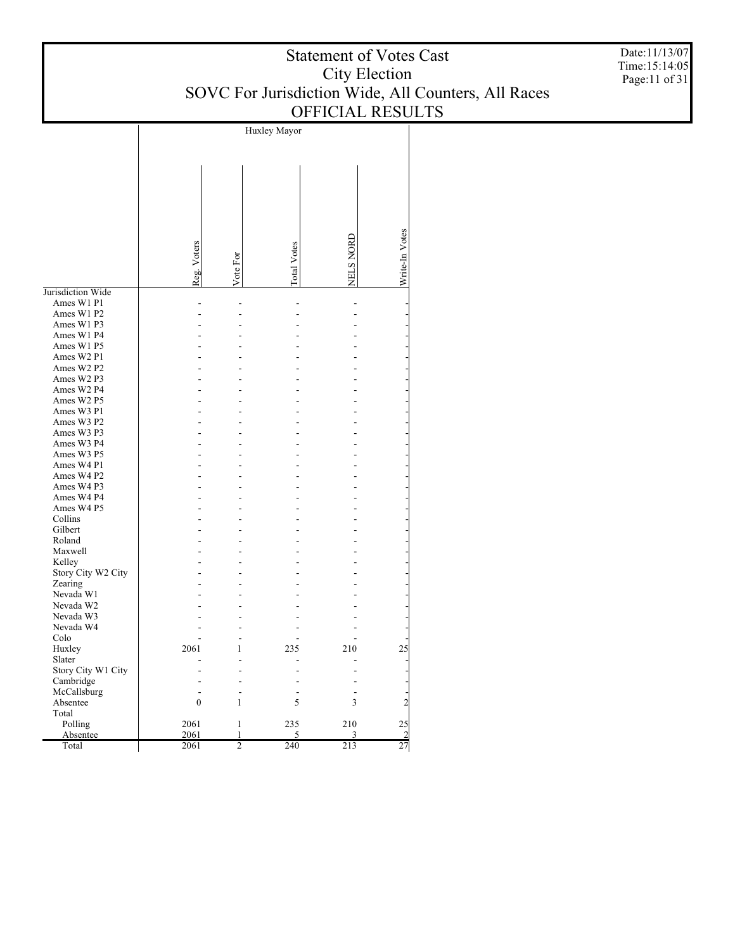| <b>Statement of Votes Cast</b>                      |
|-----------------------------------------------------|
| City Election                                       |
| SOVC For Jurisdiction Wide, All Counters, All Races |
| <b>OFFICIAL RESULTS</b>                             |

Date:11/13/07 Time:15:14:05 Page:11 of 31

|                    |                  |                | Huxley Mayor |           |                |
|--------------------|------------------|----------------|--------------|-----------|----------------|
|                    |                  |                |              |           |                |
|                    |                  |                |              |           |                |
|                    |                  |                |              |           |                |
|                    |                  |                |              |           |                |
|                    |                  |                |              |           |                |
|                    |                  |                |              |           |                |
|                    |                  |                |              |           |                |
|                    |                  |                |              |           |                |
|                    |                  |                |              |           |                |
|                    |                  |                |              |           |                |
|                    |                  |                |              |           |                |
|                    |                  |                |              |           |                |
|                    | Reg. Voters      |                | Total Votes  | NELS NORD | Write-In Votes |
|                    |                  | Vote For       |              |           |                |
| Jurisdiction Wide  |                  |                |              |           |                |
| Ames W1 P1         |                  |                |              |           |                |
| Ames W1 P2         |                  |                |              |           |                |
| Ames W1 P3         |                  |                |              |           |                |
| Ames W1 P4         |                  |                |              |           |                |
| Ames W1 P5         |                  |                |              |           |                |
| Ames W2 P1         |                  |                |              |           |                |
| Ames W2 P2         |                  |                |              |           |                |
| Ames W2 P3         |                  |                |              |           |                |
| Ames W2 P4         |                  |                |              |           |                |
| Ames W2 P5         |                  |                |              |           |                |
| Ames W3 P1         |                  |                |              |           |                |
| Ames W3 P2         |                  |                |              |           |                |
| Ames W3 P3         |                  |                |              |           |                |
| Ames W3 P4         |                  |                |              |           |                |
| Ames W3 P5         |                  |                |              |           |                |
| Ames W4 P1         |                  |                |              |           |                |
| Ames W4 P2         |                  |                |              |           |                |
| Ames W4 P3         |                  |                |              |           |                |
| Ames W4 P4         |                  |                |              |           |                |
| Ames W4 P5         |                  |                |              |           |                |
| Collins            |                  |                |              |           |                |
| Gilbert            |                  |                |              |           |                |
| Roland             |                  |                |              |           |                |
| Maxwell            |                  |                |              |           |                |
| Kelley             |                  |                |              |           |                |
| Story City W2 City |                  |                |              |           |                |
| Zearing            |                  |                |              |           |                |
| Nevada W1          |                  |                |              |           |                |
| Nevada W2          |                  |                |              |           |                |
| Nevada W3          |                  |                |              |           |                |
| Nevada W4          |                  |                |              |           |                |
| Colo               |                  |                |              |           |                |
| Huxley             | 2061             | 1              | 235          | 210       | 25             |
| Slater             |                  |                |              |           |                |
| Story City W1 City |                  |                |              |           |                |
| Cambridge          |                  |                |              |           |                |
| McCallsburg        |                  |                |              |           |                |
| Absentee           | $\boldsymbol{0}$ | $\mathbf{1}$   | 5            | 3         | $\overline{2}$ |
| Total              |                  |                |              |           |                |
| Polling            | 2061             | 1              | 235          | 210       | 25             |
| Absentee           | 2061             | $\mathbf{1}$   | 5            | 3         | $\overline{c}$ |
| Total              | 2061             | $\overline{2}$ | 240          | 213       | 27             |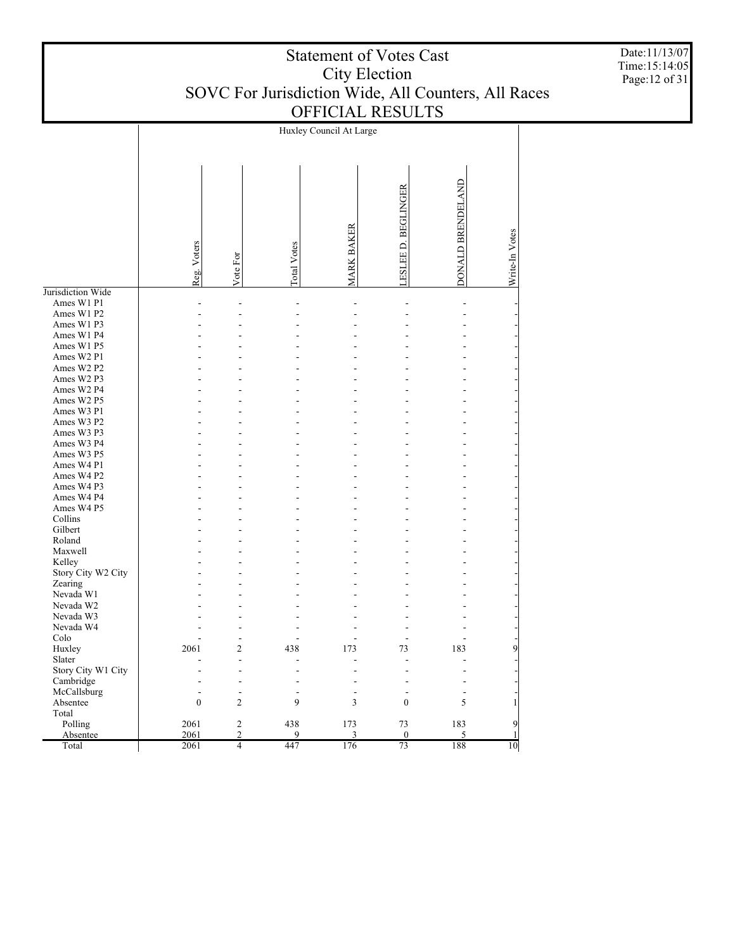|                    |                  |                |                    | Huxley Council At Large |                               |                   |                |
|--------------------|------------------|----------------|--------------------|-------------------------|-------------------------------|-------------------|----------------|
|                    |                  |                |                    |                         |                               |                   |                |
|                    | Reg. Voters      | Vote For       | <b>Total Votes</b> | <b>MARK BAKER</b>       | <b>BEGLINGER</b><br>LESLEE D. | DONALD BRENDELAND | Write-In Votes |
| Jurisdiction Wide  |                  |                |                    |                         |                               |                   |                |
| Ames W1 P1         |                  |                | L,                 |                         | $\overline{a}$                | $\overline{a}$    |                |
| Ames W1 P2         |                  |                |                    |                         |                               |                   |                |
| Ames W1 P3         |                  |                |                    |                         |                               |                   |                |
| Ames W1 P4         |                  |                |                    |                         |                               |                   |                |
| Ames W1 P5         |                  |                |                    |                         |                               |                   |                |
| Ames W2 P1         |                  |                |                    |                         |                               |                   |                |
| Ames W2 P2         |                  |                |                    |                         |                               |                   |                |
| Ames W2 P3         |                  |                |                    |                         |                               |                   |                |
| Ames W2 P4         |                  |                |                    |                         |                               |                   |                |
| Ames W2 P5         |                  |                |                    |                         |                               |                   |                |
| Ames W3 P1         |                  |                |                    |                         |                               |                   |                |
| Ames W3 P2         |                  |                |                    |                         |                               |                   |                |
| Ames W3 P3         |                  |                |                    |                         |                               |                   |                |
| Ames W3 P4         |                  |                |                    |                         |                               |                   |                |
| Ames W3 P5         |                  |                |                    |                         |                               |                   |                |
| Ames W4 P1         |                  |                |                    |                         |                               |                   |                |
| Ames W4 P2         |                  |                |                    |                         |                               |                   |                |
| Ames W4 P3         |                  |                |                    |                         |                               |                   |                |
|                    |                  |                |                    |                         |                               |                   |                |
| Ames W4 P4         |                  |                |                    |                         |                               |                   |                |
| Ames W4 P5         |                  |                |                    |                         |                               |                   |                |
| Collins            |                  |                |                    |                         |                               |                   |                |
| Gilbert            |                  |                |                    |                         |                               |                   |                |
| Roland             |                  |                |                    |                         |                               |                   |                |
| Maxwell            |                  |                |                    |                         |                               |                   |                |
| Kelley             |                  |                |                    |                         |                               |                   |                |
| Story City W2 City |                  |                |                    |                         |                               |                   |                |
| Zearing            |                  |                |                    |                         |                               |                   |                |
| Nevada W1          |                  |                |                    |                         |                               |                   |                |
| Nevada W2          |                  |                |                    |                         |                               |                   |                |
| Nevada W3          |                  |                |                    |                         |                               |                   |                |
| Nevada W4          |                  |                |                    |                         |                               |                   |                |
| Colo               |                  | $\overline{a}$ |                    |                         | ÷.                            |                   |                |
| Huxley             | 2061             | $\overline{c}$ | 438                | 173                     | 73                            | 183               | Q              |
| Slater             |                  |                |                    |                         |                               |                   |                |
| Story City W1 City |                  |                |                    |                         |                               |                   |                |
| Cambridge          |                  | $\overline{a}$ | ٠                  |                         |                               |                   |                |
| McCallsburg        |                  | $\overline{a}$ | $\overline{a}$     | $\overline{a}$          | ٠                             | ٠                 |                |
| Absentee           | $\boldsymbol{0}$ | $\overline{c}$ | 9                  | 3                       | $\mathbf{0}$                  | 5                 | 1              |
| Total              |                  |                |                    |                         |                               |                   |                |
| Polling            | 2061             | $\overline{2}$ | 438                | 173                     | 73                            | 183               | 9              |
| Absentee           | 2061             | $\overline{c}$ | 9                  | 3                       | $\mathbf{0}$                  | 5                 | 1              |
| Total              | 2061             | $\overline{4}$ | 447                | 176                     | 73                            | 188               | 10             |

Date:11/13/07 Time:15:14:05 Page:12 of 31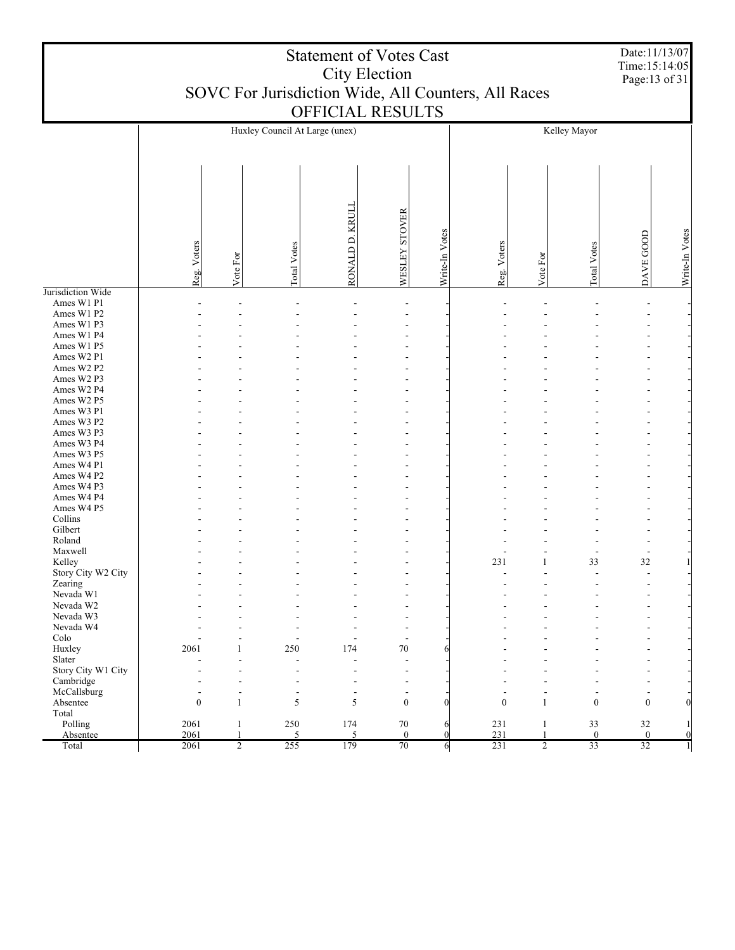|                                    | <b>Statement of Votes Cast</b><br><b>City Election</b><br>SOVC For Jurisdiction Wide, All Counters, All Races |                     |                       |                            |                                |                  |              |                                |                    | Date:11/13/07<br>Time:15:14:05<br>Page:13 of 31 |                  |
|------------------------------------|---------------------------------------------------------------------------------------------------------------|---------------------|-----------------------|----------------------------|--------------------------------|------------------|--------------|--------------------------------|--------------------|-------------------------------------------------|------------------|
|                                    | OFFICIAL RESULTS<br>Huxley Council At Large (unex)<br>Kelley Mayor                                            |                     |                       |                            |                                |                  |              |                                |                    |                                                 |                  |
|                                    |                                                                                                               |                     |                       |                            |                                |                  |              |                                |                    |                                                 |                  |
|                                    | Reg. Voters                                                                                                   | Vote For            | Total Votes           | KRUL<br>$\Delta$<br>RONALD | WESLEY STOVER                  | Write-In Votes   | Reg. Voters  | Vote For                       | <b>Total Votes</b> | DAVE GOOD                                       | Write-In Votes   |
| Jurisdiction Wide                  |                                                                                                               |                     |                       |                            |                                |                  |              |                                |                    |                                                 |                  |
| Ames W1 P1                         |                                                                                                               |                     |                       |                            |                                |                  |              |                                |                    |                                                 |                  |
| Ames W1 P2<br>Ames W1 P3           |                                                                                                               |                     |                       |                            |                                |                  |              |                                |                    |                                                 |                  |
| Ames W1 P4                         |                                                                                                               |                     |                       |                            |                                |                  |              |                                |                    |                                                 |                  |
| Ames W1 P5                         |                                                                                                               |                     |                       |                            |                                |                  |              |                                |                    |                                                 |                  |
| Ames W2 P1                         |                                                                                                               |                     |                       |                            |                                |                  |              |                                |                    |                                                 |                  |
| Ames W2 P2                         |                                                                                                               |                     |                       |                            |                                |                  |              |                                |                    |                                                 |                  |
| Ames W2 P3                         |                                                                                                               |                     |                       |                            |                                |                  |              |                                |                    |                                                 |                  |
| Ames W2 P4                         |                                                                                                               |                     |                       |                            |                                |                  |              |                                |                    |                                                 |                  |
| Ames W <sub>2</sub> P <sub>5</sub> |                                                                                                               |                     |                       |                            |                                |                  |              |                                |                    |                                                 |                  |
| Ames W3 P1                         |                                                                                                               |                     |                       |                            |                                |                  |              |                                |                    |                                                 |                  |
| Ames W3 P2                         |                                                                                                               |                     |                       |                            |                                |                  |              |                                |                    |                                                 |                  |
| Ames W3 P3<br>Ames W3 P4           |                                                                                                               |                     |                       |                            |                                |                  |              |                                |                    |                                                 |                  |
| Ames W3 P5                         |                                                                                                               |                     |                       |                            |                                |                  |              |                                |                    |                                                 |                  |
| Ames W4 P1                         |                                                                                                               |                     |                       |                            |                                |                  |              |                                |                    |                                                 |                  |
| Ames W4 P2                         |                                                                                                               |                     |                       |                            |                                |                  |              |                                |                    |                                                 |                  |
| Ames W4 P3                         |                                                                                                               |                     |                       |                            |                                |                  |              |                                |                    |                                                 |                  |
| Ames W4 P4                         |                                                                                                               |                     |                       |                            |                                |                  |              |                                |                    |                                                 |                  |
| Ames W4 P5                         |                                                                                                               |                     |                       |                            |                                |                  |              |                                |                    |                                                 |                  |
| Collins                            |                                                                                                               |                     |                       |                            |                                |                  |              |                                |                    |                                                 |                  |
| Gilbert                            |                                                                                                               |                     |                       |                            |                                |                  |              |                                |                    |                                                 |                  |
| Roland<br>Maxwell                  |                                                                                                               |                     |                       |                            |                                |                  |              |                                |                    |                                                 |                  |
| Kelley                             |                                                                                                               |                     |                       |                            |                                |                  | 231          | 1                              | 33                 | 32                                              |                  |
| Story City W2 City                 |                                                                                                               |                     |                       |                            |                                |                  |              |                                |                    | $\overline{\phantom{a}}$                        |                  |
| Zearing                            |                                                                                                               |                     |                       |                            |                                |                  |              |                                |                    |                                                 |                  |
| Nevada W1                          |                                                                                                               |                     |                       |                            |                                |                  |              |                                |                    |                                                 |                  |
| Nevada W2                          |                                                                                                               |                     |                       |                            | ٠                              |                  |              |                                |                    |                                                 |                  |
| Nevada W3                          |                                                                                                               |                     |                       |                            |                                |                  |              |                                |                    |                                                 |                  |
| Nevada W4                          |                                                                                                               |                     |                       |                            | $\overline{a}$                 |                  |              |                                |                    |                                                 |                  |
| Colo                               | 2061                                                                                                          | $\overline{a}$<br>1 | $\overline{a}$<br>250 | 174                        | $\overline{\phantom{a}}$<br>70 |                  |              |                                |                    |                                                 |                  |
| Huxley<br>Slater                   |                                                                                                               |                     |                       |                            | $\blacksquare$                 | 6                |              |                                |                    |                                                 |                  |
| Story City W1 City                 |                                                                                                               | ۰                   |                       |                            | $\blacksquare$                 |                  |              |                                |                    |                                                 |                  |
| Cambridge                          |                                                                                                               |                     |                       |                            | $\overline{\phantom{a}}$       |                  |              |                                |                    |                                                 |                  |
| McCallsburg                        |                                                                                                               |                     |                       |                            | $\overline{\phantom{a}}$       |                  |              |                                |                    |                                                 |                  |
| Absentee                           | $\mathbf{0}$                                                                                                  | $\mathbf{1}$        | 5                     | 5                          | $\boldsymbol{0}$               | $\overline{0}$   | $\mathbf{0}$ | $\mathbf{1}$                   | $\mathbf{0}$       | $\boldsymbol{0}$                                | $\mathbf{0}$     |
| Total                              |                                                                                                               |                     |                       |                            |                                |                  |              |                                |                    |                                                 |                  |
| Polling                            | 2061                                                                                                          | $\mathbf{1}$        | 250                   | 174                        | $70\,$                         | 6                | 231          | $\mathbf{1}$                   | 33                 | 32                                              | 1                |
| Absentee                           | 2061                                                                                                          | $\overline{2}$      | $\overline{5}$<br>255 | 5<br>179                   | $\boldsymbol{0}$<br>70         | $\boldsymbol{0}$ | 231          | $\mathbf{1}$<br>$\overline{2}$ | $\bf{0}$<br>33     | $\bf{0}$<br>32                                  | $\boldsymbol{0}$ |
| Total                              | 2061                                                                                                          |                     |                       |                            |                                | $6 \times$       | 231          |                                |                    |                                                 |                  |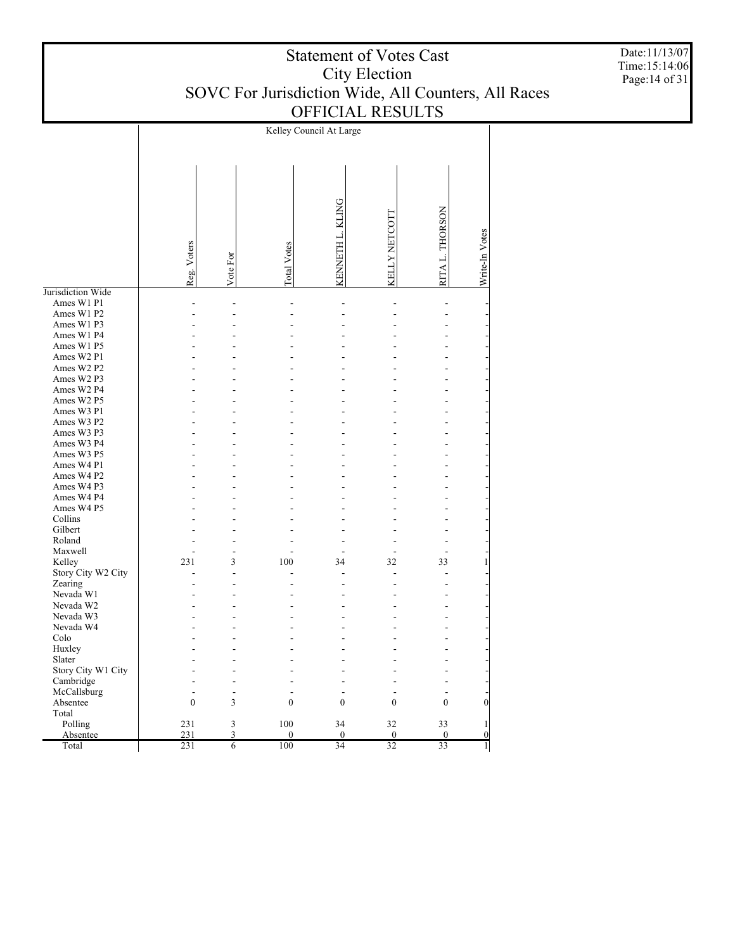Kelley Council At Large **KLING** KENNETH L. KLING RITA L. THORSON RITA L. THORSON KELLY NETCOTT KELLY NETCOTT Write-In Votes KENNETH L. Write-In Votes Reg. Voters Total Votes Vote For Jurisdiction Wide Ames W1 P1 - - - - - - - Ames W1 P2 - - - - - - - Ames W1 P3 - - - - - - - Ames W1 P4 - - - - - - - Ames W1 P5 - - - - - - - Ames W2 P1 - - - - - - - Ames W2 P2 - - - - - - - Ames W2 P3 - - - - - - - Ames W2 P4 - - - - - - - Ames W2 P5 - - - - - - - Ames W3 P1 - - - - - - - Ames W3 P2 - - - - - - - Ames W3 P3 - - - - - - - Ames W3 P4 - - - - - - - Ames W3 P5 - - - - - - - Ames W4 P1 - - - - - - - Ames W4 P2 - - - - - - - Ames W4 P3 - - - - - - - Ames W4 P4 - - - - - - - Ames W4 P5 - - - - - - - Collins - - - - - - - Gilbert - - - - - - - Roland - - - - - - - Maxwell - - - - - - - Kelley 231 3 100 34 32 33 1 Story City W2 City - - - - - - - Zearing - - - - - - - Nevada W1 - - - - - - - Nevada W2 - - - - - - - Nevada W3 - - - - - - - Nevada W4 - - - - - - - Colo - - - - - - - Huxley - - - - - - - Slater - - - - - - - Story City W1 City - - - - - - - Cambridge - - - - - - - McCallsburg - - - - - - - Absentee  $0 \qquad 3 \qquad 0 \qquad 0 \qquad 0 \qquad 0 \qquad 0$  Total Polling 231 3 100 34 32 33 1 231 3 0 0 0 0 0 Absentee Total 231 6 100 34 32 33 1

Date:11/13/07 Time:15:14:06 Page:14 of 31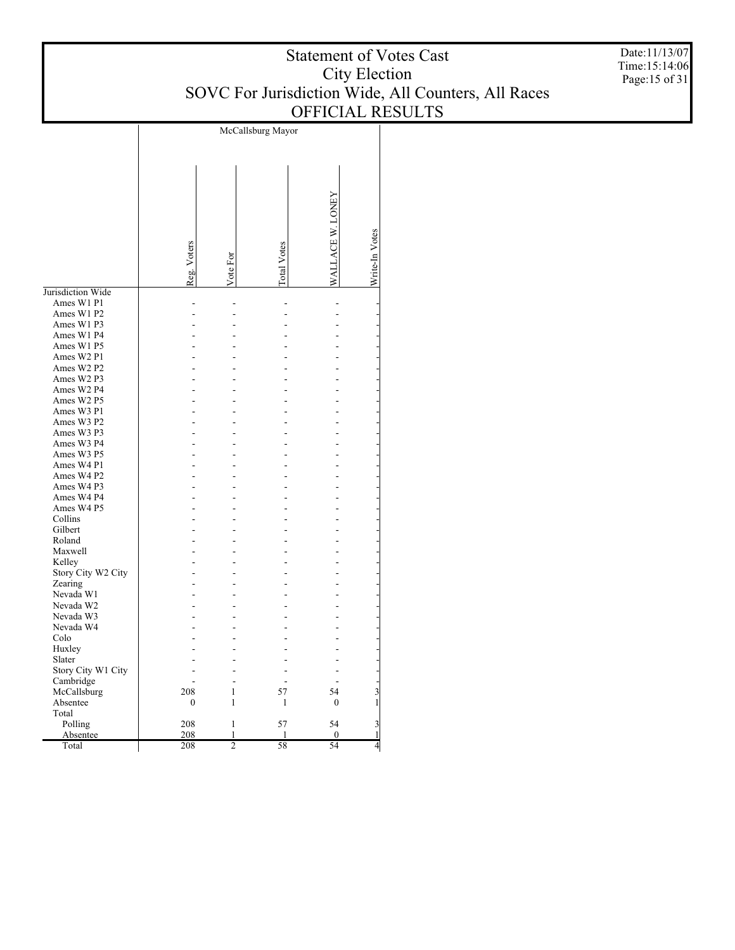McCallsburg Mayor WALLACE W. LONEY WALLACE W. LONEY Write-In Votes Write-In Votes Reg. Voters Total Votes Vote For Jurisdiction Wide Ames W1 P1 - - - - - Ames W1 P2 - - - - - Ames W1 P3 - - - - - Ames W1 P4 - - - - - Ames W1 P5 - - - - - Ames W2 P1 - - - - - Ames W2 P2 - - - - - Ames W2 P3 - - - - - Ames W2 P4 - - - - - Ames W2 P5 - - - - - Ames W3 P1 - - - - - Ames W3 P2 - - - - - Ames W3 P3 - - - - - Ames W3 P4 - - - - - Ames W3 P5 - - - - - Ames W4 P1 - - - - - Ames W4 P2 - - - - - Ames W4 P3 - - - - - Ames W4 P4 - - - - - Ames W4 P5 - - - - - Collins - - - - - Gilbert - - - - - Roland - - - - - Maxwell - - - - - Kelley - - - - - Story City W2 City - - - - - Zearing - - - - - Nevada W1 - - - - - Nevada W2 - - - - - Nevada W3 - - - - - Nevada W4 - - - - - Colo - - - - - Huxley - - - - - Slater - - - - - Story City W1 City - - - - - Cambridge - - - - - McCallsburg 208 1 57 54 3 Absentee 0 1 1 0 1 Total Polling 208 1 57 54 3 208 1 1 0 1 <u>Absente</u> Total 208 2 58 54 4

Date:11/13/07 Time:15:14:06 Page:15 of 31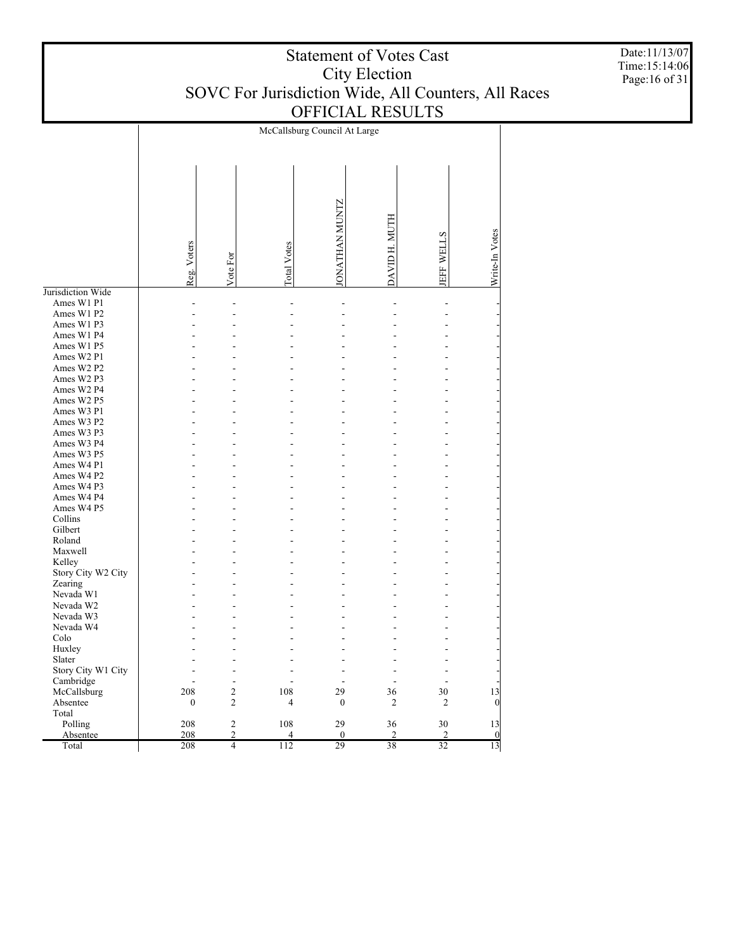McCallsburg Council At Large JONATHAN MUNTZ JONATHAN MUNTZ DAVID H. MUTH DAVID H. MUTH Write-In Votes Write-In Votes JEFF WELLS Reg. Voters Total Votes Vote For Jurisdiction Wide Ames W1 P1 - - - - - - - Ames W1 P2 - - - - - - - Ames W1 P3 - - - - - - - Ames W1 P4 - - - - - - - Ames W1 P5 - - - - - - - Ames W2 P1 - - - - - - - Ames W2 P2 - - - - - - - Ames W2 P3 - - - - - - - Ames W2 P4 - - - - - - - Ames W2 P5 - - - - - - - Ames W3 P1 - - - - - - - Ames W3 P2 - - - - - - - Ames W3 P3 - - - - - - - Ames W3 P4 - - - - - - - Ames W3 P5 - - - - - - - Ames W4 P1 - - - - - - - Ames W4 P2 - - - - - - - Ames W4 P3 - - - - - - - Ames W4 P4 - - - - - - - Ames W4 P5 - - - - - - - Collins - - - - - - - Gilbert - - - - - - - Roland - - - - - - - Maxwell - - - - - - - Kelley - - - - - - - Story City W2 City - - - - - - - Zearing - - - - - - - Nevada W1 - - - - - - - Nevada W2 - - - - - - - Nevada W3 - - - - - - - Nevada W4 - - - - - - - Colo - - - - - - - Huxley - - - - - - - Slater - - - - - - - Story City W1 City - - - - - - - Cambridge - - - - - - - McCallsburg 208 2 108 29 36 30 13 Absentee 0 2 4 0 2 2 0 Total Polling 208 2 108 29 36 30 13 208 2 4 0 2 2 0 Absente Total 208 4 112 29 38 32 13

Date:11/13/07 Time:15:14:06 Page:16 of 31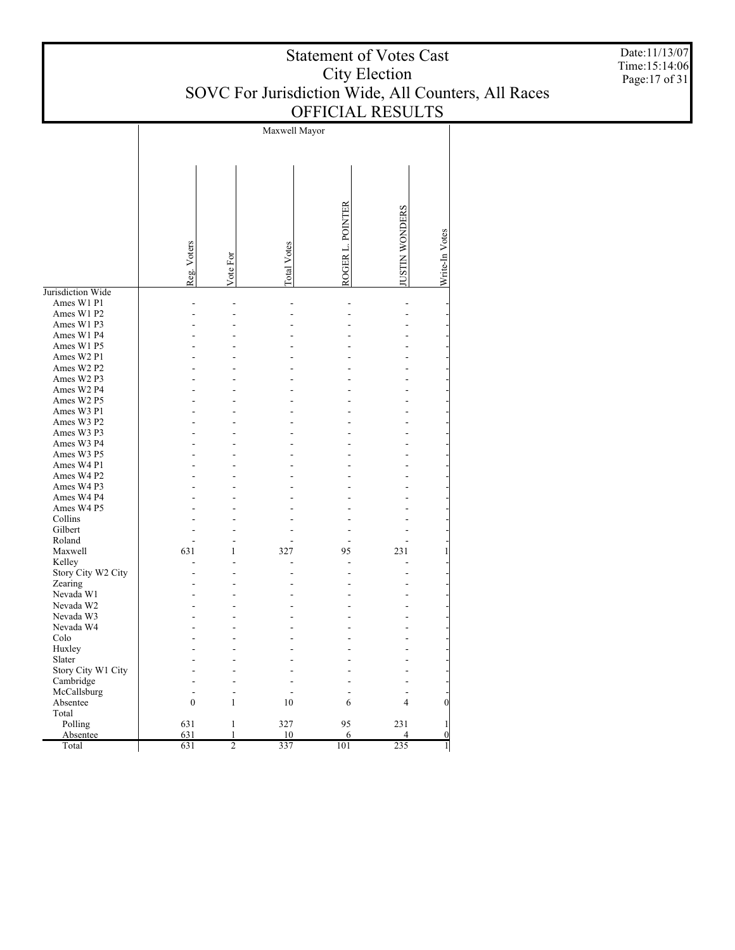| <b>Statement of Votes Cast</b>                      |
|-----------------------------------------------------|
| City Election                                       |
| SOVC For Jurisdiction Wide, All Counters, All Races |
| <b>OFFICIAL RESULTS</b>                             |

Maxwell Mayor ROGER L. POINTER JUSTIN WONDERS JUSTIN WONDERS ROGER L. POINTE Write-In Votes Write-In Votes Reg. Voters Total Votes Vote For Jurisdiction Wide Ames W1 P1 - - - - - - Ames W1 P2 - - - - - - Ames W1 P3 - - - - - - Ames W1 P4 - - - - - - Ames W1 P5 - - - - - - Ames W2 P1 - - - - - - Ames W2 P2 - - - - - - Ames W2 P3 - - - - - - Ames W2 P4 - - - - - - Ames W2 P5 - - - - - - Ames W3 P1 - - - - - - Ames W3 P2 - - - - - - Ames W3 P3 - - - - - - Ames W3 P4 - - - - - - Ames W3 P5 - - - - - - Ames W4 P1 - - - - - - Ames W4 P2 - - - - - - Ames W4 P3 - - - - - - Ames W4 P4 - - - - - - Ames W4 P5 - - - - - - Collins - - - - - - Gilbert - - - - - - Roland - - - - - - Maxwell 631 1 327 95 231 1 Kelley - - - - - - Story City W2 City - - - - - - Zearing - - - - - - Nevada W1 - - - - - - Nevada W2 - - - - - - Nevada W3 - - - - - - Nevada W4 - - - - - - Colo - - - - - - Huxley - - - - - - Slater - - - - - - Story City W1 City - - - - - - Cambridge - - - - - - McCallsburg - - - - - - Absentee 0 1 10 6 4 0 Total Polling 631 1 327 95 231 1 Absentee 631 1 10 6 4 0

631 2 337 101 235 1

Total

Date:11/13/07 Time:15:14:06 Page:17 of 31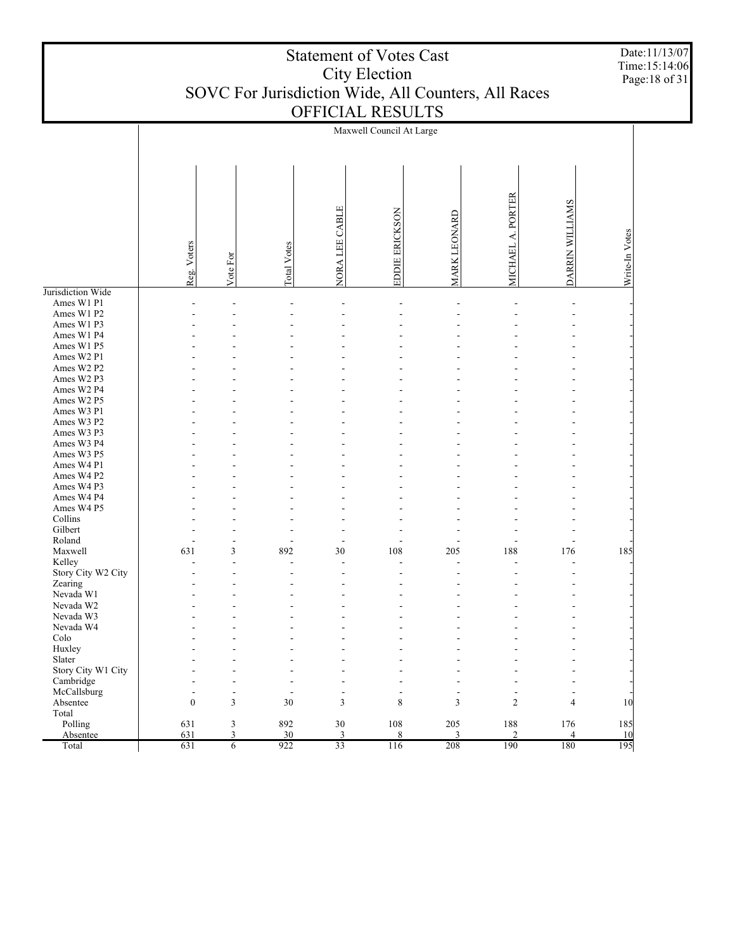|                              |                  |                |                    |                | <b>Statement of Votes Cast</b><br><b>City Election</b> |                          |                          |                 | Date:11/13/07<br>Time:15:14:06<br>Page: 18 of 31 |
|------------------------------|------------------|----------------|--------------------|----------------|--------------------------------------------------------|--------------------------|--------------------------|-----------------|--------------------------------------------------|
|                              |                  |                |                    |                | SOVC For Jurisdiction Wide, All Counters, All Races    |                          |                          |                 |                                                  |
|                              |                  |                |                    |                | OFFICIAL RESULTS                                       |                          |                          |                 |                                                  |
|                              |                  |                |                    |                | Maxwell Council At Large                               |                          |                          |                 |                                                  |
|                              | Reg. Voters      | Vote For       | <b>Total Votes</b> | NORA LEE CABLE | ERICKSON<br>EDDIE                                      | LEONARD<br><b>MARK</b>   | MICHAEL A. PORTER        | DARRIN WILLIAMS | Write-In Votes                                   |
| Jurisdiction Wide            |                  |                |                    |                |                                                        |                          |                          |                 |                                                  |
| Ames W1 P1<br>Ames W1 P2     |                  |                |                    |                |                                                        |                          |                          |                 |                                                  |
| Ames W1 P3<br>Ames W1 P4     |                  |                |                    |                |                                                        |                          |                          |                 |                                                  |
| Ames W1 P5                   |                  |                |                    |                |                                                        |                          |                          |                 |                                                  |
| Ames W2 P1                   |                  |                |                    |                |                                                        |                          |                          |                 |                                                  |
| Ames W2 P2                   |                  |                |                    |                |                                                        |                          |                          |                 |                                                  |
| Ames W2 P3<br>Ames W2 P4     |                  |                |                    |                |                                                        |                          |                          |                 |                                                  |
| Ames W2 P5                   |                  |                |                    |                |                                                        |                          |                          |                 |                                                  |
| Ames W3 P1                   |                  |                |                    |                |                                                        |                          |                          |                 |                                                  |
| Ames W3 P2                   |                  |                |                    |                |                                                        |                          |                          |                 |                                                  |
| Ames W3 P3<br>Ames W3 P4     |                  |                |                    |                |                                                        |                          |                          |                 |                                                  |
| Ames W3 P5                   |                  |                |                    |                |                                                        |                          |                          |                 |                                                  |
| Ames W4 P1                   |                  |                |                    |                |                                                        |                          |                          |                 |                                                  |
| Ames W4 P2                   |                  |                |                    |                |                                                        |                          |                          |                 |                                                  |
| Ames W4 P3                   |                  |                |                    |                |                                                        |                          |                          |                 |                                                  |
| Ames W4 P4<br>Ames W4 P5     |                  |                |                    |                |                                                        |                          |                          |                 |                                                  |
| Collins                      |                  |                |                    |                |                                                        |                          |                          |                 |                                                  |
| Gilbert                      |                  |                |                    |                |                                                        |                          |                          |                 |                                                  |
| Roland<br>Maxwell            | 631              | 3              | 892                | 30             | $\overline{\phantom{a}}$<br>108                        | 205                      | 188                      | 176             | 185                                              |
| Kelley                       |                  |                |                    |                |                                                        |                          |                          |                 |                                                  |
| Story City W2 City           |                  |                |                    |                |                                                        |                          |                          |                 |                                                  |
| Zearing                      |                  |                |                    |                |                                                        |                          |                          |                 |                                                  |
| Nevada W1<br>Nevada W2       |                  |                |                    |                |                                                        |                          |                          |                 |                                                  |
| Nevada W3                    |                  |                |                    |                |                                                        |                          |                          |                 |                                                  |
| Nevada W4                    |                  |                |                    |                |                                                        |                          |                          |                 |                                                  |
| Colo                         |                  |                |                    |                |                                                        |                          |                          |                 |                                                  |
| Huxley                       |                  |                |                    |                |                                                        |                          |                          |                 |                                                  |
| Slater<br>Story City W1 City |                  |                |                    |                |                                                        |                          |                          |                 |                                                  |
| Cambridge                    |                  |                |                    |                |                                                        |                          |                          |                 |                                                  |
| McCallsburg                  |                  | $\blacksquare$ | ÷                  | $\overline{a}$ |                                                        | $\overline{\phantom{a}}$ | $\overline{\phantom{a}}$ |                 |                                                  |
| Absentee                     | $\boldsymbol{0}$ | $\mathfrak{Z}$ | 30                 | 3              | 8                                                      | 3                        | $\overline{2}$           | $\overline{4}$  | 10                                               |
| Total<br>Polling             | 631              | $\mathfrak{Z}$ | 892                | $30\,$         | 108                                                    | 205                      | 188                      | 176             | 185                                              |
| Absentee                     | 631              | $\overline{3}$ | 30                 | $\overline{3}$ | $\,$ 8 $\,$                                            | 3                        | $\overline{2}$           | $\overline{4}$  | 10                                               |
| Total                        | 631              | $\overline{6}$ | 922                | 33             | 116                                                    | 208                      | 190                      | 180             | 195                                              |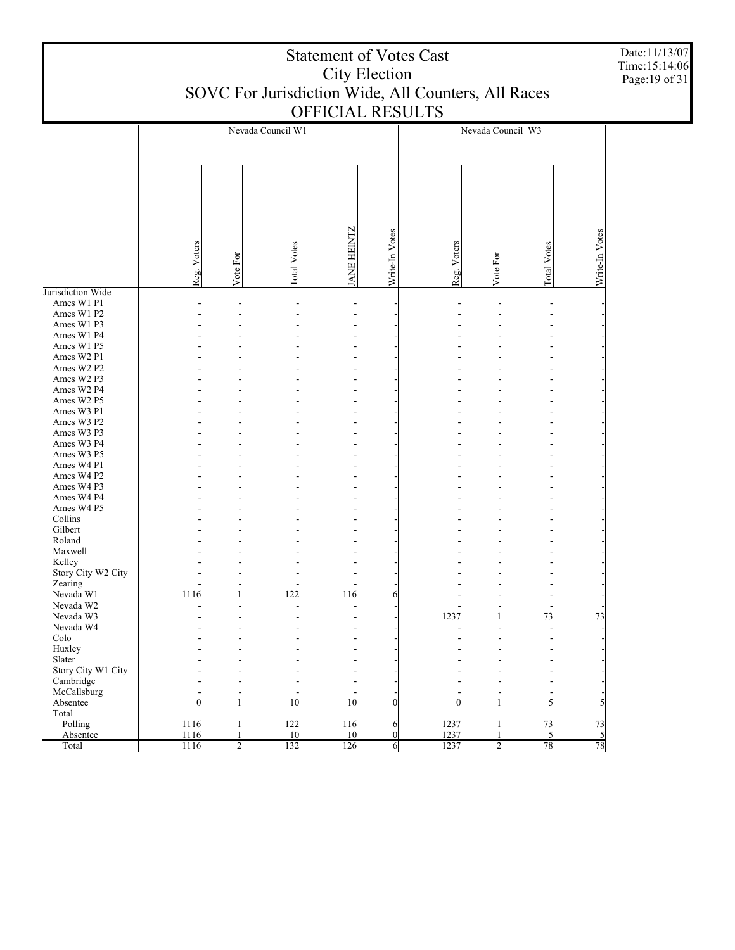|                                 | <b>Statement of Votes Cast</b><br>City Election                         |                                          |                                 |                                 |                     |                  | Date:11/13/07<br>Time:15:14:06<br>Page: 19 of 31 |                                                      |                      |  |
|---------------------------------|-------------------------------------------------------------------------|------------------------------------------|---------------------------------|---------------------------------|---------------------|------------------|--------------------------------------------------|------------------------------------------------------|----------------------|--|
|                                 | SOVC For Jurisdiction Wide, All Counters, All Races<br>OFFICIAL RESULTS |                                          |                                 |                                 |                     |                  |                                                  |                                                      |                      |  |
|                                 |                                                                         |                                          |                                 |                                 |                     |                  |                                                  |                                                      |                      |  |
|                                 |                                                                         |                                          | Nevada Council W1               |                                 |                     |                  | Nevada Council W3                                |                                                      |                      |  |
|                                 |                                                                         |                                          |                                 |                                 |                     |                  |                                                  |                                                      |                      |  |
|                                 |                                                                         |                                          |                                 |                                 |                     |                  |                                                  |                                                      |                      |  |
|                                 |                                                                         |                                          |                                 |                                 |                     |                  |                                                  |                                                      |                      |  |
|                                 |                                                                         |                                          |                                 |                                 |                     |                  |                                                  |                                                      |                      |  |
|                                 |                                                                         |                                          |                                 |                                 |                     |                  |                                                  |                                                      |                      |  |
|                                 |                                                                         |                                          |                                 | ANE HEINTZ                      | Write-In Votes      |                  |                                                  |                                                      | Write-In Votes       |  |
|                                 | Reg. Voters                                                             | Vote For                                 | <b>Total Votes</b>              |                                 |                     | Reg. Voters      | Vote For                                         | Total Votes                                          |                      |  |
|                                 |                                                                         |                                          |                                 |                                 |                     |                  |                                                  |                                                      |                      |  |
| Jurisdiction Wide<br>Ames W1 P1 |                                                                         |                                          |                                 |                                 |                     |                  |                                                  |                                                      |                      |  |
| Ames W1 P2                      |                                                                         |                                          |                                 |                                 |                     |                  |                                                  |                                                      |                      |  |
| Ames W1 P3                      |                                                                         |                                          |                                 |                                 |                     |                  |                                                  |                                                      |                      |  |
| Ames W1 P4                      |                                                                         |                                          |                                 |                                 |                     |                  |                                                  |                                                      |                      |  |
| Ames W1 P5                      |                                                                         |                                          |                                 |                                 |                     |                  |                                                  |                                                      |                      |  |
| Ames W2 P1<br>Ames W2 P2        |                                                                         |                                          |                                 |                                 |                     |                  |                                                  |                                                      |                      |  |
| Ames W2 P3                      |                                                                         |                                          |                                 |                                 |                     |                  |                                                  |                                                      |                      |  |
| Ames W2 P4                      |                                                                         |                                          |                                 |                                 |                     |                  |                                                  |                                                      |                      |  |
| Ames W2 P5                      |                                                                         |                                          |                                 |                                 |                     |                  |                                                  |                                                      |                      |  |
| Ames W3 P1                      |                                                                         |                                          |                                 |                                 |                     |                  |                                                  |                                                      |                      |  |
| Ames W3 P2                      |                                                                         |                                          |                                 |                                 |                     |                  |                                                  |                                                      |                      |  |
| Ames W3 P3<br>Ames W3 P4        |                                                                         |                                          |                                 |                                 |                     |                  |                                                  |                                                      |                      |  |
| Ames W3 P5                      |                                                                         |                                          |                                 |                                 |                     |                  |                                                  |                                                      |                      |  |
| Ames W4 P1                      |                                                                         |                                          |                                 |                                 |                     |                  |                                                  |                                                      |                      |  |
| Ames W4 P2                      |                                                                         |                                          |                                 |                                 |                     |                  |                                                  |                                                      |                      |  |
| Ames W4 P3                      |                                                                         |                                          |                                 |                                 |                     |                  |                                                  |                                                      |                      |  |
| Ames W4 P4                      |                                                                         |                                          |                                 |                                 |                     |                  |                                                  |                                                      |                      |  |
| Ames W4 P5<br>Collins           |                                                                         |                                          |                                 |                                 |                     |                  |                                                  |                                                      |                      |  |
| Gilbert                         |                                                                         |                                          |                                 |                                 |                     |                  |                                                  |                                                      |                      |  |
| Roland                          |                                                                         |                                          |                                 |                                 |                     |                  |                                                  |                                                      |                      |  |
| Maxwell                         |                                                                         |                                          |                                 |                                 |                     |                  |                                                  |                                                      |                      |  |
| Kelley                          |                                                                         |                                          |                                 |                                 |                     |                  |                                                  |                                                      |                      |  |
| Story City W2 City<br>Zearing   |                                                                         |                                          |                                 |                                 |                     |                  |                                                  |                                                      |                      |  |
| Nevada W1                       | $\overline{a}$<br>1116                                                  | $\overline{\phantom{m}}$<br>$\mathbf{1}$ | $\overline{\phantom{m}}$<br>122 | $\overline{\phantom{a}}$<br>116 | 6                   |                  |                                                  | $\overline{\phantom{a}}$<br>$\overline{\phantom{a}}$ |                      |  |
| Nevada W2                       |                                                                         | $\overline{a}$                           | L,                              | $\blacksquare$                  |                     |                  |                                                  | $\overline{\phantom{a}}$                             |                      |  |
| Nevada W3                       |                                                                         |                                          |                                 |                                 |                     | 1237             | 1                                                | 73                                                   | 73                   |  |
| Nevada W4                       |                                                                         |                                          |                                 |                                 |                     |                  | $\overline{a}$                                   | $\overline{a}$                                       |                      |  |
| Colo                            |                                                                         |                                          |                                 |                                 |                     |                  |                                                  |                                                      |                      |  |
| Huxley<br>Slater                |                                                                         |                                          |                                 |                                 |                     |                  |                                                  |                                                      |                      |  |
| Story City W1 City              |                                                                         |                                          |                                 |                                 |                     |                  |                                                  |                                                      |                      |  |
| Cambridge                       |                                                                         |                                          |                                 |                                 |                     |                  |                                                  |                                                      |                      |  |
| McCallsburg                     |                                                                         | ÷.                                       |                                 | $\overline{\phantom{a}}$        |                     |                  | $\overline{\phantom{a}}$                         | $\blacksquare$                                       |                      |  |
| Absentee                        | $\boldsymbol{0}$                                                        | $\mathbf{1}$                             | 10                              | 10                              | $\Omega$            | $\boldsymbol{0}$ | $\mathbf{1}$                                     | 5                                                    | 5                    |  |
| Total                           |                                                                         |                                          |                                 |                                 |                     |                  |                                                  |                                                      |                      |  |
| Polling<br>Absentee             | 1116<br>1116                                                            | $\mathbf{1}$<br>1                        | 122<br>10                       | 116<br>10                       | 6<br>$\overline{0}$ | 1237<br>1237     | $\mathbf{1}$<br>1                                | $73\,$<br>5                                          | 73<br>$\mathfrak{h}$ |  |
| Total                           | 1116                                                                    | $\overline{2}$                           | 132                             | 126                             | 6                   | 1237             | $\overline{2}$                                   | 78                                                   | 78                   |  |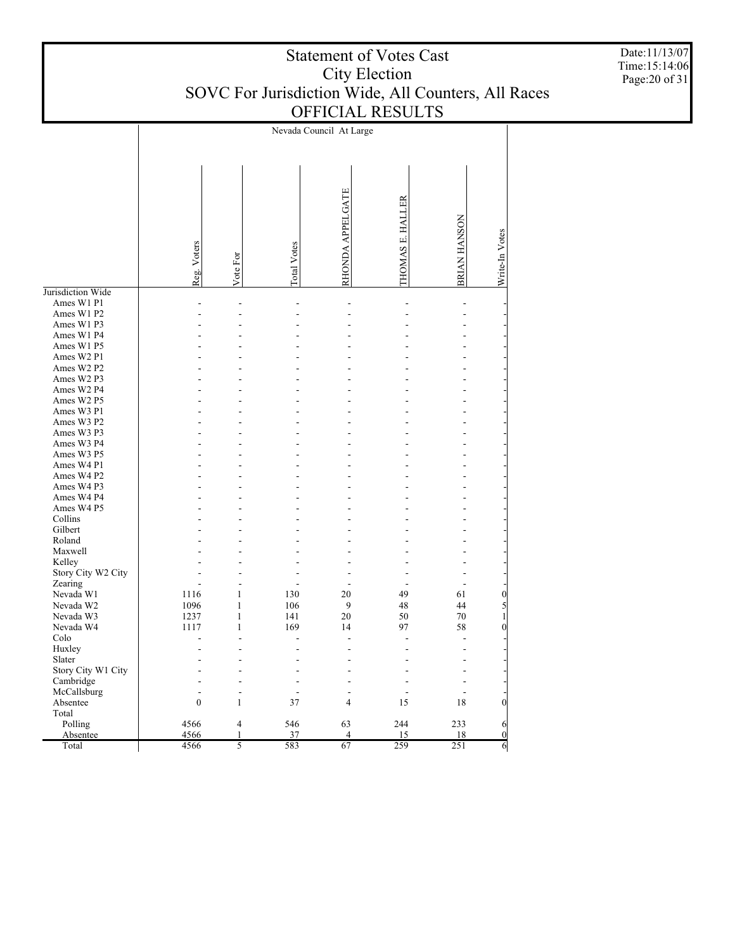|                    |                  |                |                    | Nevada Council At Large |                          |              |                 |
|--------------------|------------------|----------------|--------------------|-------------------------|--------------------------|--------------|-----------------|
|                    | Reg. Voters      | Vote For       | <b>Total Votes</b> | RHONDA APPELGATE        | <b>THOMAS E. HALLER</b>  | BRIAN HANSON | Write-In Votes  |
| Jurisdiction Wide  |                  |                |                    |                         |                          |              |                 |
| Ames W1 P1         | L.               | L.             | L.                 | L.                      | L,                       | L.           |                 |
| Ames W1 P2         |                  |                |                    |                         |                          |              |                 |
| Ames W1 P3         |                  |                |                    |                         |                          |              |                 |
| Ames W1 P4         |                  |                |                    |                         |                          |              |                 |
| Ames W1 P5         |                  |                |                    |                         |                          |              |                 |
| Ames W2 P1         |                  |                |                    |                         |                          |              |                 |
| Ames W2 P2         |                  |                |                    |                         |                          |              |                 |
| Ames W2 P3         |                  |                |                    |                         |                          |              |                 |
| Ames W2 P4         |                  |                |                    |                         |                          |              |                 |
| Ames W2 P5         |                  |                |                    |                         |                          |              |                 |
| Ames W3 P1         |                  |                |                    |                         |                          |              |                 |
|                    |                  |                |                    |                         |                          |              |                 |
| Ames W3 P2         |                  |                |                    |                         |                          |              |                 |
| Ames W3 P3         |                  |                |                    |                         |                          |              |                 |
| Ames W3 P4         |                  |                |                    |                         |                          |              |                 |
| Ames W3 P5         |                  |                |                    |                         |                          |              |                 |
| Ames W4 P1         |                  |                |                    |                         |                          |              |                 |
| Ames W4 P2         |                  |                |                    |                         |                          |              |                 |
| Ames W4 P3         |                  |                |                    |                         |                          |              |                 |
| Ames W4 P4         |                  |                |                    |                         |                          |              |                 |
| Ames W4 P5         |                  |                |                    |                         |                          |              |                 |
| Collins            |                  |                |                    |                         |                          |              |                 |
| Gilbert            |                  |                |                    |                         |                          |              |                 |
| Roland             |                  |                |                    |                         |                          |              |                 |
| Maxwell            |                  |                |                    |                         |                          |              |                 |
| Kelley             |                  |                |                    |                         |                          |              |                 |
| Story City W2 City |                  |                |                    |                         |                          |              |                 |
| Zearing            |                  |                |                    |                         |                          |              |                 |
| Nevada W1          | 1116             | 1              | 130                | 20                      | 49                       | 61           | $\vert 0 \vert$ |
| Nevada W2          | 1096             | 1              | 106                | 9                       | 48                       | 44           | $\mathfrak{h}$  |
| Nevada W3          | 1237             | 1              | 141                | 20                      | 50                       | 70           | $\mathbf{1}$    |
| Nevada W4          | 1117             | 1              | 169                | 14                      | 97                       | 58           | $\vert 0 \vert$ |
| Colo               |                  |                |                    | L,                      |                          |              |                 |
| Huxley             |                  |                |                    |                         |                          |              |                 |
| Slater             |                  |                |                    |                         |                          |              |                 |
| Story City W1 City |                  |                |                    |                         |                          |              |                 |
| Cambridge          |                  |                |                    |                         | L.                       |              |                 |
| McCallsburg        |                  |                |                    |                         | $\overline{\phantom{a}}$ |              |                 |
| Absentee           | $\boldsymbol{0}$ | $\mathbf{1}$   | 37                 | $\overline{4}$          | 15                       | 18           | $\overline{0}$  |
| Total              |                  |                |                    |                         |                          |              |                 |
| Polling            | 4566             | $\overline{4}$ | 546                | 63                      | 244                      | 233          | 6               |
| Absentee           | 4566             | $\mathbf{1}$   | 37                 | $\overline{4}$          | 15                       | 18           | $\vert 0 \vert$ |
| Total              | 4566             | 5              | 583                | 67                      | 259                      | 251          | 6               |

Date:11/13/07 Time:15:14:06 Page:20 of 31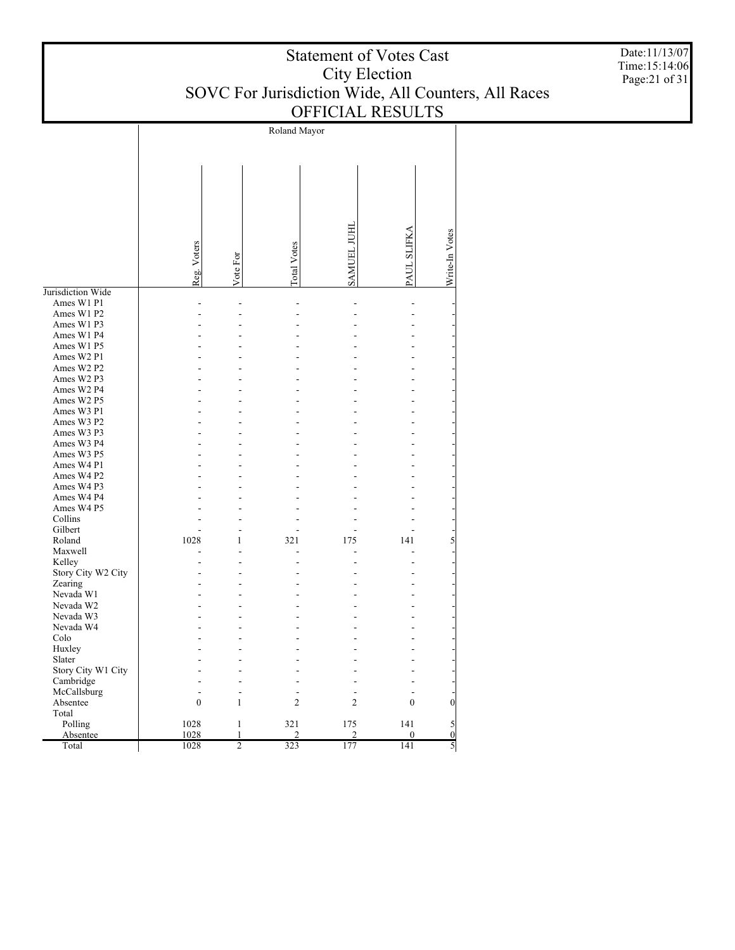| <b>Statement of Votes Cast</b>                      |
|-----------------------------------------------------|
| City Election                                       |
| SOVC For Jurisdiction Wide, All Counters, All Races |
| <b>OFFICIAL RESULTS</b>                             |

Roland Mayor SAMUEL JUHL SAMUEL JUHL PAUL SLIFKA Write-In Votes Write-In Votes Reg. Voters Total Votes Vote For Jurisdiction Wide Ames W1 P1 - - - - - - Ames W1 P2 - - - - - - Ames W1 P3 - - - - - - Ames W1 P4 - - - - - - Ames W1 P5 - - - - - - Ames W2 P1 - - - - - - Ames W2 P2 - - - - - - Ames W2 P3 - - - - - - Ames W2 P4 - - - - - - Ames W2 P5 - - - - - - Ames W3 P1 - - - - - - Ames W3 P2 - - - - - - Ames W3 P3 - - - - - - Ames W3 P4 - - - - - - Ames W3 P5 - - - - - - Ames W4 P1 - - - - - - Ames W4 P2 - - - - - - Ames W4 P3 - - - - - - Ames W4 P4 - - - - - - Ames W4 P5 - - - - - - Collins - - - - - - Gilbert - - - - - - Roland 1028 1 321 175 141 5 Maxwell - - - - - - Kelley - - - - - - Story City W2 City - - - - - - Zearing - - - - - - Nevada W1 - - - - - - Nevada W2 - - - - - - Nevada W3 - - - - - - Nevada W4 - - - - - - Colo - - - - - - Huxley - - - - - - Slater - - - - - - Story City W1 City - - - - - - Cambridge - - - - - - McCallsburg - - - - - - Absentee  $0 \t 1 \t 2 \t 2 \t 0 \t 0$  Total Polling 1028 1 321 175 141 5 Absentee 1028 1 2 2 0 0 Total 1028 2 323 177 141 5

Date:11/13/07 Time:15:14:06 Page:21 of 31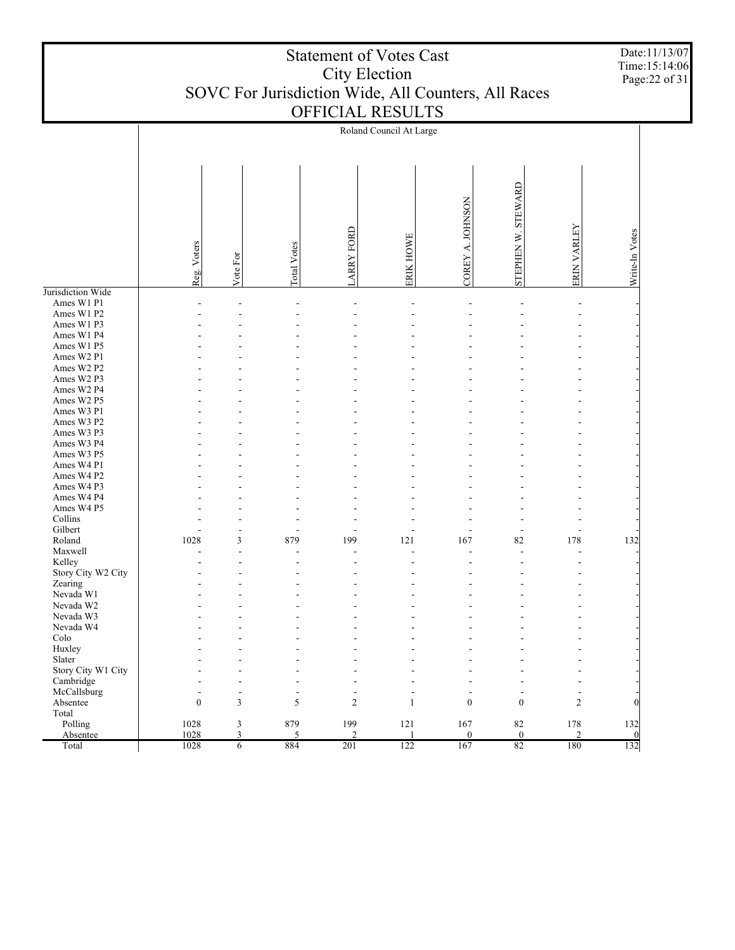|                              | <b>Statement of Votes Cast</b><br>City Election<br>SOVC For Jurisdiction Wide, All Counters, All Races<br>OFFICIAL RESULTS |                          |                    |                       |                         |                              |                       |                       | Date:11/13/07<br>Time:15:14:06<br>Page: 22 of 31 |  |
|------------------------------|----------------------------------------------------------------------------------------------------------------------------|--------------------------|--------------------|-----------------------|-------------------------|------------------------------|-----------------------|-----------------------|--------------------------------------------------|--|
|                              |                                                                                                                            |                          |                    |                       | Roland Council At Large |                              |                       |                       |                                                  |  |
|                              | Reg. Voters                                                                                                                | Vote For                 | <b>Total Votes</b> | <b>ARRY FORD</b>      | ERIK HOWE               | <b>NOSNHOL</b><br>∢<br>COREY | STEWARD<br>STEPHEN W. | ERIN VARLEY           | Write-In Votes                                   |  |
| Jurisdiction Wide            |                                                                                                                            |                          |                    |                       |                         |                              |                       |                       |                                                  |  |
| Ames W1 P1<br>Ames W1 P2     |                                                                                                                            |                          |                    |                       |                         |                              |                       |                       |                                                  |  |
| Ames W1 P3                   |                                                                                                                            |                          |                    |                       |                         |                              |                       |                       |                                                  |  |
| Ames W1 P4                   |                                                                                                                            |                          |                    |                       |                         |                              |                       |                       |                                                  |  |
| Ames W1 P5                   |                                                                                                                            |                          |                    |                       |                         |                              |                       |                       |                                                  |  |
| Ames W2 P1                   |                                                                                                                            |                          |                    |                       |                         |                              |                       |                       |                                                  |  |
| Ames W2 P2<br>Ames W2 P3     |                                                                                                                            |                          |                    |                       |                         |                              |                       |                       |                                                  |  |
| Ames W2 P4                   |                                                                                                                            |                          |                    |                       |                         |                              |                       |                       |                                                  |  |
| Ames W2 P5                   |                                                                                                                            |                          |                    |                       |                         |                              |                       |                       |                                                  |  |
| Ames W3 P1                   |                                                                                                                            |                          |                    |                       |                         |                              |                       |                       |                                                  |  |
| Ames W3 P2                   |                                                                                                                            |                          |                    |                       |                         |                              |                       |                       |                                                  |  |
| Ames W3 P3                   |                                                                                                                            |                          |                    |                       |                         |                              |                       |                       |                                                  |  |
| Ames W3 P4<br>Ames W3 P5     |                                                                                                                            |                          |                    |                       |                         |                              |                       |                       |                                                  |  |
| Ames W4 P1                   |                                                                                                                            |                          |                    |                       |                         |                              |                       |                       |                                                  |  |
| Ames W4 P2                   |                                                                                                                            |                          |                    |                       |                         |                              |                       |                       |                                                  |  |
| Ames W4 P3                   |                                                                                                                            |                          |                    |                       |                         |                              |                       |                       |                                                  |  |
| Ames W4 P4                   |                                                                                                                            |                          |                    |                       |                         |                              |                       |                       |                                                  |  |
| Ames W4 P5                   |                                                                                                                            |                          |                    |                       |                         |                              |                       |                       |                                                  |  |
| Collins<br>Gilbert           |                                                                                                                            |                          |                    |                       |                         |                              |                       |                       |                                                  |  |
| Roland                       | 1028                                                                                                                       | 3                        | 879                | 199                   | 121                     | 167                          | 82                    | 178                   | 132                                              |  |
| Maxwell                      |                                                                                                                            |                          |                    |                       |                         |                              |                       |                       |                                                  |  |
| Kelley                       |                                                                                                                            |                          |                    |                       |                         |                              |                       |                       |                                                  |  |
| Story City W2 City           |                                                                                                                            |                          |                    |                       |                         |                              |                       |                       |                                                  |  |
| Zearing<br>Nevada W1         |                                                                                                                            |                          |                    |                       |                         |                              |                       |                       |                                                  |  |
| Nevada W2                    |                                                                                                                            |                          |                    |                       |                         |                              |                       |                       |                                                  |  |
| Nevada W3                    |                                                                                                                            |                          |                    |                       |                         |                              |                       |                       |                                                  |  |
| Nevada W4                    |                                                                                                                            |                          |                    |                       |                         |                              |                       |                       |                                                  |  |
| Colo                         |                                                                                                                            |                          |                    |                       |                         |                              |                       |                       |                                                  |  |
| Huxley                       |                                                                                                                            |                          |                    |                       |                         |                              |                       |                       |                                                  |  |
| Slater<br>Story City W1 City |                                                                                                                            |                          |                    |                       |                         |                              |                       |                       |                                                  |  |
| Cambridge                    |                                                                                                                            |                          |                    |                       |                         |                              |                       |                       |                                                  |  |
| McCallsburg                  |                                                                                                                            | $\overline{\phantom{a}}$ |                    |                       |                         |                              |                       |                       |                                                  |  |
| Absentee                     | $\theta$                                                                                                                   | 3                        | 5                  | $\overline{2}$        | 1                       | $\mathbf{0}$                 | $\mathbf{0}$          | $\overline{2}$        | $\theta$                                         |  |
| Total                        |                                                                                                                            |                          |                    |                       |                         |                              |                       |                       |                                                  |  |
| Polling<br>Absentee          | 1028<br>1028                                                                                                               | 3<br>3                   | 879<br>5           | 199<br>$\overline{2}$ | 121                     | 167<br>$\boldsymbol{0}$      | 82<br>$\bf{0}$        | 178<br>$\overline{c}$ | 132<br>$\overline{0}$                            |  |
| Total                        | 1028                                                                                                                       | $6\overline{6}$          | 884                | 201                   | 122                     | 167                          | 82                    | 180                   | 132                                              |  |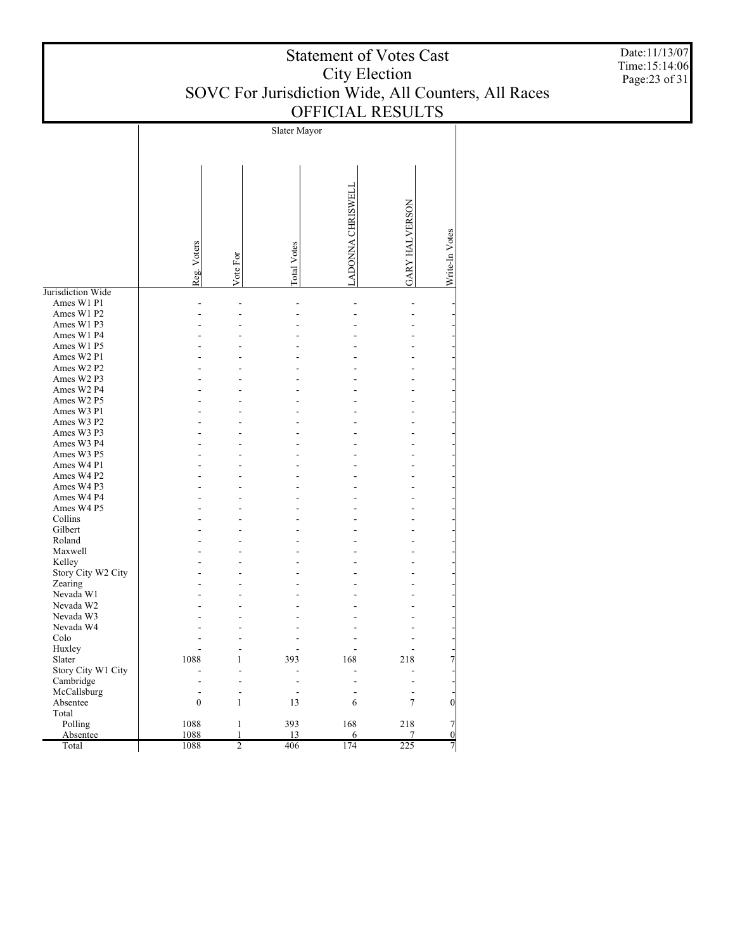| <b>Statement of Votes Cast</b>                      |
|-----------------------------------------------------|
| City Election                                       |
| SOVC For Jurisdiction Wide, All Counters, All Races |
| <b>OFFICIAL RESULTS</b>                             |

Slater Mayor LADONNA CHRISWELL LADONNA CHRISWELL **GARY HALVERSON** GARY HALVERSON Write-In Votes Write-In Votes Reg. Voters Total Votes Vote For Jurisdiction Wide Ames W1 P1 - - - - - - Ames W1 P2 - - - - - - Ames W1 P3 - - - - - - Ames W1 P4 - - - - - - Ames W1 P5 - - - - - - Ames W2 P1 - - - - - - Ames W2 P2 - - - - - - Ames W2 P3 - - - - - - Ames W2 P4 - - - - - - Ames W2 P5 - - - - - - Ames W3 P1 - - - - - - Ames W3 P2 - - - - - - Ames W3 P3 - - - - - - Ames W3 P4 - - - - - - Ames W3 P5 - - - - - - Ames W4 P1 - - - - - - Ames W4 P2 - - - - - - Ames W4 P3 - - - - - - Ames W4 P4 - - - - - - Ames W4 P5 - - - - - - Collins - - - - - - Gilbert - - - - - - Roland - - - - - - Maxwell - - - - - - Kelley - - - - - - Story City W2 City - - - - - - Zearing - - - - - - Nevada W1 - - - - - - Nevada W2 - - - - - - Nevada W3 - - - - - - Nevada W4 - - - - - - Colo - - - - - - Huxley - - - - - - Slater 1088 1 393 168 218 7 Story City W1 City - - - - - - Cambridge - - - - - - McCallsburg - - - - - - Absentee 0 1 13 6 7 0 Total Polling 1088 1 393 168 218 7 Absentee 1088 1 13 6 7 0 Total 1088 2 406 174 225 7

Date:11/13/07 Time:15:14:06 Page:23 of 31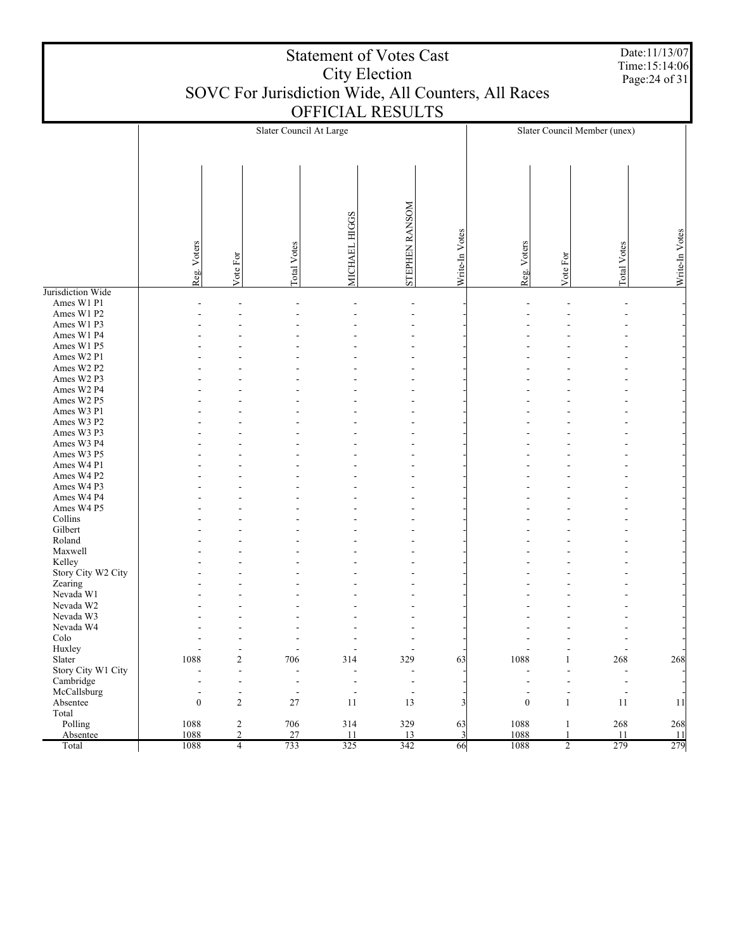|                          | Date:11/13/07<br><b>Statement of Votes Cast</b><br>Time:15:14:06<br><b>City Election</b><br>Page: 24 of 31<br>SOVC For Jurisdiction Wide, All Counters, All Races<br>OFFICIAL RESULTS |                          |                          |                          |                          |                         |                  |                          |                              |                |
|--------------------------|---------------------------------------------------------------------------------------------------------------------------------------------------------------------------------------|--------------------------|--------------------------|--------------------------|--------------------------|-------------------------|------------------|--------------------------|------------------------------|----------------|
|                          |                                                                                                                                                                                       |                          |                          |                          |                          |                         |                  |                          | Slater Council Member (unex) |                |
|                          |                                                                                                                                                                                       |                          | Slater Council At Large  |                          |                          |                         |                  |                          |                              |                |
|                          | Reg. Voters                                                                                                                                                                           | Vote For                 | <b>Total Votes</b>       | MICHAEL HIGGS            | STEPHEN RANSOM           | Write-In Votes          | Reg. Voters      | Vote For                 | <b>Total Votes</b>           | Write-In Votes |
| Jurisdiction Wide        |                                                                                                                                                                                       |                          |                          |                          |                          |                         |                  |                          |                              |                |
| Ames W1 P1<br>Ames W1 P2 |                                                                                                                                                                                       |                          |                          |                          |                          |                         |                  |                          |                              |                |
| Ames W1 P3               |                                                                                                                                                                                       |                          |                          |                          |                          |                         |                  |                          |                              |                |
| Ames W1 P4               |                                                                                                                                                                                       |                          |                          |                          |                          |                         |                  |                          |                              |                |
| Ames W1 P5               |                                                                                                                                                                                       |                          |                          |                          |                          |                         |                  |                          |                              |                |
| Ames W2 P1               |                                                                                                                                                                                       |                          |                          |                          |                          |                         |                  |                          |                              |                |
| Ames W2 P2               |                                                                                                                                                                                       |                          |                          |                          |                          |                         |                  |                          |                              |                |
| Ames W2 P3               |                                                                                                                                                                                       |                          |                          |                          |                          |                         |                  |                          |                              |                |
| Ames W2 P4<br>Ames W2 P5 |                                                                                                                                                                                       |                          |                          |                          |                          |                         |                  |                          |                              |                |
| Ames W3 P1               |                                                                                                                                                                                       |                          |                          |                          |                          |                         |                  |                          |                              |                |
| Ames W3 P2               |                                                                                                                                                                                       |                          |                          |                          |                          |                         |                  |                          |                              |                |
| Ames W3 P3               |                                                                                                                                                                                       |                          |                          |                          |                          |                         |                  |                          |                              |                |
| Ames W3 P4               |                                                                                                                                                                                       |                          |                          |                          |                          |                         |                  |                          |                              |                |
| Ames W3 P5               |                                                                                                                                                                                       |                          |                          |                          |                          |                         |                  |                          |                              |                |
| Ames W4 P1<br>Ames W4 P2 |                                                                                                                                                                                       |                          |                          |                          |                          |                         |                  |                          |                              |                |
| Ames W4 P3               |                                                                                                                                                                                       |                          |                          |                          |                          |                         |                  |                          |                              |                |
| Ames W4 P4               |                                                                                                                                                                                       |                          |                          |                          |                          |                         |                  |                          |                              |                |
| Ames W4 P5               |                                                                                                                                                                                       |                          |                          |                          |                          |                         |                  |                          |                              |                |
| Collins                  |                                                                                                                                                                                       |                          |                          |                          |                          |                         |                  |                          |                              |                |
| Gilbert                  |                                                                                                                                                                                       |                          |                          |                          |                          |                         |                  |                          |                              |                |
| Roland<br>Maxwell        |                                                                                                                                                                                       |                          |                          |                          |                          |                         |                  |                          |                              |                |
| Kelley                   |                                                                                                                                                                                       |                          |                          |                          |                          |                         |                  |                          |                              |                |
| Story City W2 City       |                                                                                                                                                                                       |                          |                          |                          |                          |                         |                  |                          |                              |                |
| Zearing                  |                                                                                                                                                                                       |                          |                          |                          |                          |                         |                  |                          |                              |                |
| Nevada W1                |                                                                                                                                                                                       |                          |                          |                          | $\overline{\phantom{a}}$ |                         |                  |                          |                              |                |
| Nevada W2                |                                                                                                                                                                                       |                          |                          |                          |                          |                         |                  |                          |                              |                |
| Nevada W3                |                                                                                                                                                                                       |                          |                          |                          |                          |                         |                  |                          |                              |                |
| Nevada W4<br>Colo        |                                                                                                                                                                                       |                          |                          |                          |                          |                         |                  |                          |                              |                |
| Huxley                   |                                                                                                                                                                                       | L,                       |                          |                          |                          |                         |                  |                          | L.                           |                |
| Slater                   | 1088                                                                                                                                                                                  | $\overline{\mathbf{c}}$  | 706                      | 314                      | 329                      | 63                      | 1088             | $\mathbf{1}$             | 268                          | 268            |
| Story City W1 City       |                                                                                                                                                                                       | $\overline{a}$           | $\overline{\phantom{a}}$ | $\overline{a}$           | ٠                        |                         |                  |                          | $\overline{\phantom{a}}$     |                |
| Cambridge                |                                                                                                                                                                                       | $\blacksquare$           | $\blacksquare$           | $\blacksquare$           | $\overline{\phantom{a}}$ |                         | $\overline{a}$   | $\overline{\phantom{a}}$ | $\overline{\phantom{a}}$     |                |
| McCallsburg              |                                                                                                                                                                                       | $\overline{\phantom{a}}$ | $\overline{\phantom{a}}$ | $\overline{\phantom{a}}$ | $\overline{\phantom{a}}$ |                         | $\overline{a}$   | $\overline{a}$           | $\overline{\phantom{a}}$     |                |
| Absentee<br>Total        | $\boldsymbol{0}$                                                                                                                                                                      | $\overline{c}$           | $27\,$                   | 11                       | 13                       | $\overline{\mathbf{3}}$ | $\boldsymbol{0}$ | $\mathbf{1}$             | $11\,$                       | 11             |
| Polling                  | 1088                                                                                                                                                                                  | $\sqrt{2}$               | 706                      | 314                      | 329                      | 63                      | 1088             | $\mathbf{1}$             | 268                          | 268            |
| Absentee                 | 1088                                                                                                                                                                                  | $\overline{2}$           | 27                       | 11                       | 13                       | $\overline{\mathbf{3}}$ | 1088             | $\mathbf{1}$             | 11                           | 11             |
| Total                    | 1088                                                                                                                                                                                  | $\overline{4}$           | 733                      | 325                      | 342                      | 66                      | 1088             | $\overline{2}$           | 279                          | 279            |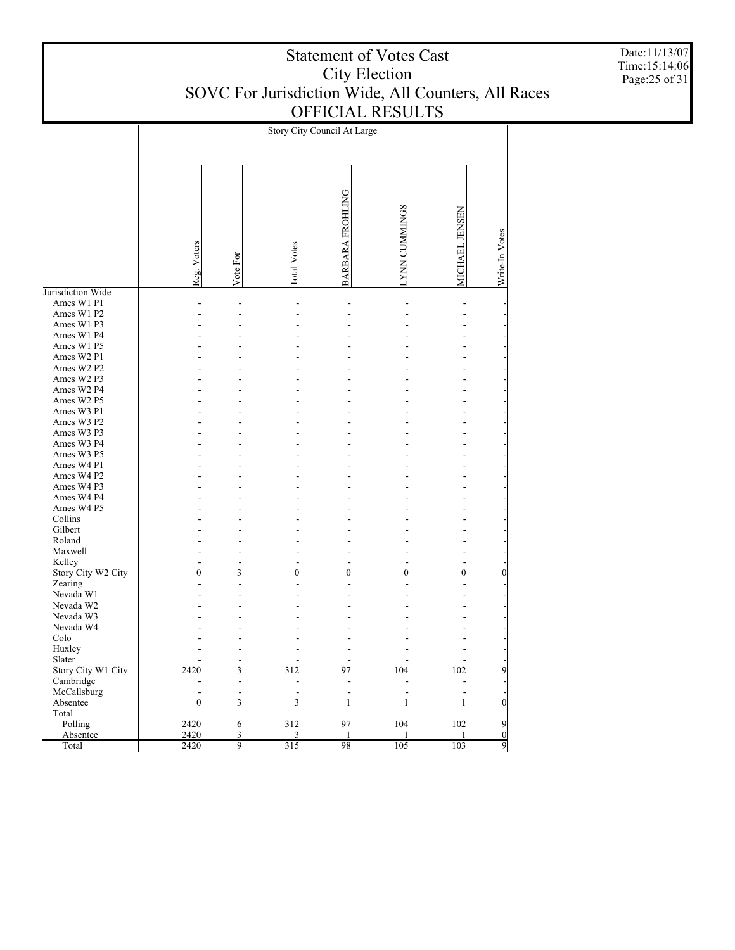|                    |                          |                             | Story City Council At Large |                    |                      |                  |                  |
|--------------------|--------------------------|-----------------------------|-----------------------------|--------------------|----------------------|------------------|------------------|
|                    | Reg. Voters              | Vote For                    | <b>Total Votes</b>          | BARBARA FROHLING   | <b>LYNN CUMMINGS</b> | MICHAEL JENSEN   | Write-In Votes   |
| Jurisdiction Wide  |                          |                             |                             |                    |                      |                  |                  |
| Ames W1 P1         |                          |                             |                             |                    |                      |                  |                  |
| Ames W1 P2         |                          |                             |                             |                    |                      |                  |                  |
| Ames W1 P3         |                          |                             |                             |                    |                      |                  |                  |
| Ames W1 P4         |                          |                             |                             |                    |                      |                  |                  |
| Ames W1 P5         |                          |                             |                             |                    |                      |                  |                  |
| Ames W2 P1         |                          |                             |                             |                    |                      |                  |                  |
| Ames W2 P2         |                          |                             |                             |                    |                      |                  |                  |
| Ames W2 P3         |                          |                             |                             |                    |                      |                  |                  |
| Ames W2 P4         |                          |                             |                             |                    |                      |                  |                  |
| Ames W2 P5         |                          |                             |                             |                    |                      |                  |                  |
| Ames W3 P1         |                          |                             |                             |                    |                      |                  |                  |
| Ames W3 P2         |                          |                             |                             |                    |                      |                  |                  |
| Ames W3 P3         |                          |                             |                             |                    |                      |                  |                  |
| Ames W3 P4         |                          |                             |                             |                    |                      |                  |                  |
| Ames W3 P5         |                          |                             |                             |                    |                      |                  |                  |
| Ames W4 P1         |                          |                             |                             |                    |                      |                  |                  |
|                    |                          |                             |                             |                    |                      |                  |                  |
| Ames W4 P2         |                          |                             |                             |                    |                      |                  |                  |
| Ames W4 P3         |                          |                             |                             |                    |                      |                  |                  |
| Ames W4 P4         |                          |                             |                             |                    |                      |                  |                  |
| Ames W4 P5         |                          |                             |                             |                    |                      |                  |                  |
| Collins            |                          |                             |                             |                    |                      |                  |                  |
| Gilbert            |                          |                             |                             |                    |                      |                  |                  |
| Roland             |                          |                             |                             |                    |                      |                  |                  |
| Maxwell            |                          |                             |                             |                    |                      |                  |                  |
| Kelley             |                          |                             |                             |                    |                      |                  |                  |
| Story City W2 City | $\mathbf{0}$             | 3                           | $\boldsymbol{0}$            | $\boldsymbol{0}$   | $\boldsymbol{0}$     | $\boldsymbol{0}$ | $\boldsymbol{0}$ |
| Zearing            |                          |                             |                             |                    |                      |                  |                  |
| Nevada W1          |                          |                             |                             |                    |                      |                  |                  |
| Nevada W2          |                          |                             |                             |                    |                      |                  |                  |
| Nevada W3          |                          |                             |                             |                    |                      |                  |                  |
| Nevada W4          |                          |                             |                             |                    |                      |                  |                  |
| Colo               |                          |                             |                             |                    |                      |                  |                  |
| Huxley             |                          |                             |                             |                    |                      |                  |                  |
| Slater             |                          |                             |                             |                    |                      |                  |                  |
| Story City W1 City | 2420                     | 3                           | 312                         | 97                 | 104                  | 102              | $\overline{9}$   |
| Cambridge          |                          | $\overline{a}$              | $\overline{a}$              | L,                 |                      | $\overline{a}$   |                  |
| McCallsburg        | $\overline{\phantom{a}}$ | $\frac{1}{2}$               | $\overline{\phantom{a}}$    | $\overline{a}$     | $\frac{1}{2}$        | $\frac{1}{2}$    |                  |
| Absentee           | $\boldsymbol{0}$         | $\ensuremath{\mathfrak{Z}}$ | $\mathfrak{Z}$              | $\mathbf{1}$       | $\mathbf{1}$         | $\,1\,$          | $\overline{0}$   |
| Total              |                          |                             |                             |                    |                      |                  |                  |
| Polling            | 2420                     | $\sqrt{6}$                  | 312                         | 97                 | 104                  | $102\,$          | $\overline{9}$   |
| Absentee           | 2420                     |                             | $\overline{3}$              |                    | 1                    | 1                | $\overline{0}$   |
| Total              | 2420                     | $rac{3}{9}$                 | 315                         | $\mathbf{1}$<br>98 | 105                  | 103              | $\overline{9}$   |
|                    |                          |                             |                             |                    |                      |                  |                  |

Date:11/13/07 Time:15:14:06 Page:25 of 31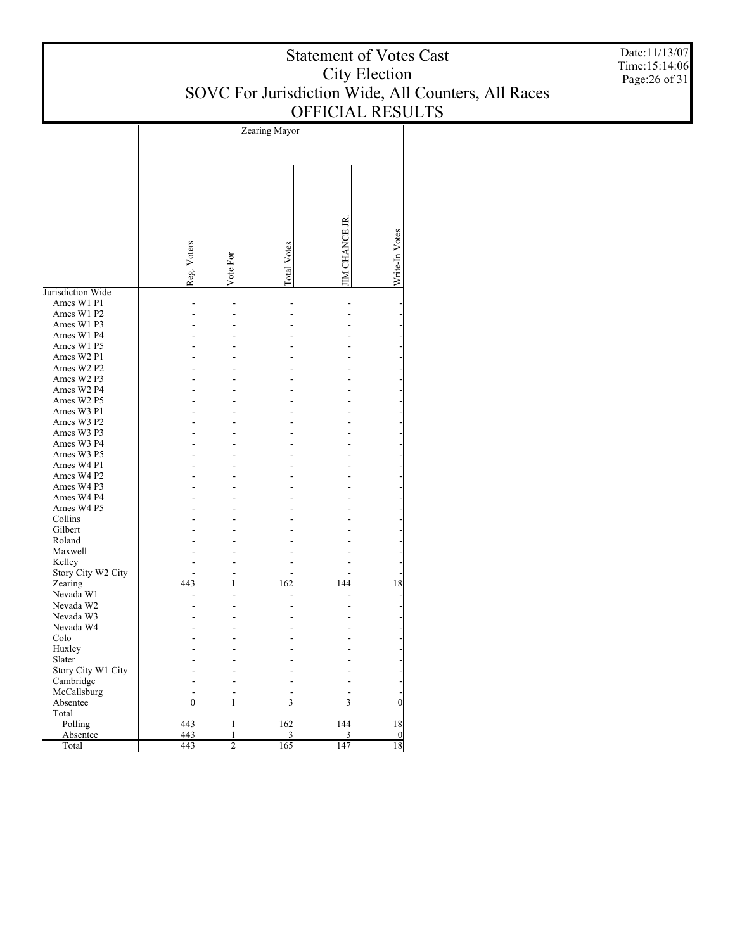| <b>Statement of Votes Cast</b>                      |
|-----------------------------------------------------|
| City Election                                       |
| SOVC For Jurisdiction Wide, All Counters, All Races |
| <b>OFFICIAL RESULTS</b>                             |

Date:11/13/07 Time:15:14:06 Page:26 of 31

|                    |                  |                     | Zearing Mayor |                     |                                     |
|--------------------|------------------|---------------------|---------------|---------------------|-------------------------------------|
|                    |                  |                     |               |                     |                                     |
|                    |                  |                     |               |                     |                                     |
|                    |                  |                     |               |                     |                                     |
|                    |                  |                     |               |                     |                                     |
|                    |                  |                     |               |                     |                                     |
|                    |                  |                     |               |                     |                                     |
|                    |                  |                     |               |                     |                                     |
|                    |                  |                     |               |                     |                                     |
|                    |                  |                     |               |                     |                                     |
|                    |                  |                     |               |                     |                                     |
|                    |                  |                     |               |                     |                                     |
|                    |                  |                     |               |                     |                                     |
|                    | Reg. Voters      | Vote For            | Total Votes   | <b>IM CHANCE JR</b> | Write-In Votes                      |
|                    |                  |                     |               |                     |                                     |
| Jurisdiction Wide  |                  |                     |               |                     |                                     |
| Ames W1 P1         |                  |                     |               |                     |                                     |
| Ames W1 P2         |                  |                     |               |                     |                                     |
| Ames W1 P3         |                  |                     |               |                     |                                     |
| Ames W1 P4         |                  |                     |               |                     |                                     |
| Ames W1 P5         |                  |                     |               |                     |                                     |
| Ames W2 P1         |                  |                     |               |                     |                                     |
| Ames W2 P2         |                  |                     |               |                     |                                     |
| Ames W2 P3         |                  |                     |               |                     |                                     |
| Ames W2 P4         |                  |                     |               |                     |                                     |
| Ames W2 P5         |                  |                     |               |                     |                                     |
| Ames W3 P1         |                  |                     |               |                     |                                     |
| Ames W3 P2         |                  |                     |               |                     |                                     |
| Ames W3 P3         |                  |                     |               |                     |                                     |
| Ames W3 P4         |                  |                     |               |                     |                                     |
| Ames W3 P5         |                  |                     |               |                     |                                     |
| Ames W4 P1         |                  |                     |               |                     |                                     |
| Ames W4 P2         |                  |                     |               |                     |                                     |
| Ames W4 P3         |                  |                     |               |                     |                                     |
| Ames W4 P4         |                  |                     |               |                     |                                     |
| Ames W4 P5         |                  |                     |               |                     |                                     |
| Collins            |                  |                     |               |                     |                                     |
| Gilbert            |                  |                     |               |                     |                                     |
| Roland             |                  |                     |               |                     |                                     |
| Maxwell            |                  |                     |               |                     |                                     |
| Kelley             |                  |                     |               |                     |                                     |
| Story City W2 City |                  |                     |               |                     |                                     |
| Zearing            | 443              | 1                   | 162           | 144                 | 18                                  |
| Nevada W1          |                  | L                   |               |                     |                                     |
| Nevada W2          |                  |                     |               |                     |                                     |
| Nevada W3          |                  |                     |               |                     |                                     |
| Nevada W4          |                  |                     |               |                     |                                     |
| Colo               |                  |                     |               |                     |                                     |
| Huxley             |                  |                     |               |                     |                                     |
| Slater             |                  |                     |               |                     |                                     |
| Story City W1 City |                  |                     |               |                     |                                     |
| Cambridge          |                  |                     |               |                     |                                     |
| McCallsburg        |                  |                     |               |                     | $\overline{0}$                      |
| Absentee           | $\boldsymbol{0}$ | 1                   | 3             | 3                   |                                     |
| Total              |                  |                     |               |                     |                                     |
| Polling            | 443<br>443       | 1                   | 162           | 144                 | 18                                  |
| Absentee           |                  | 1<br>$\overline{2}$ | 3<br>165      | 3                   | $\boldsymbol{0}$<br>$\overline{18}$ |
| Total              | 443              |                     |               | 147                 |                                     |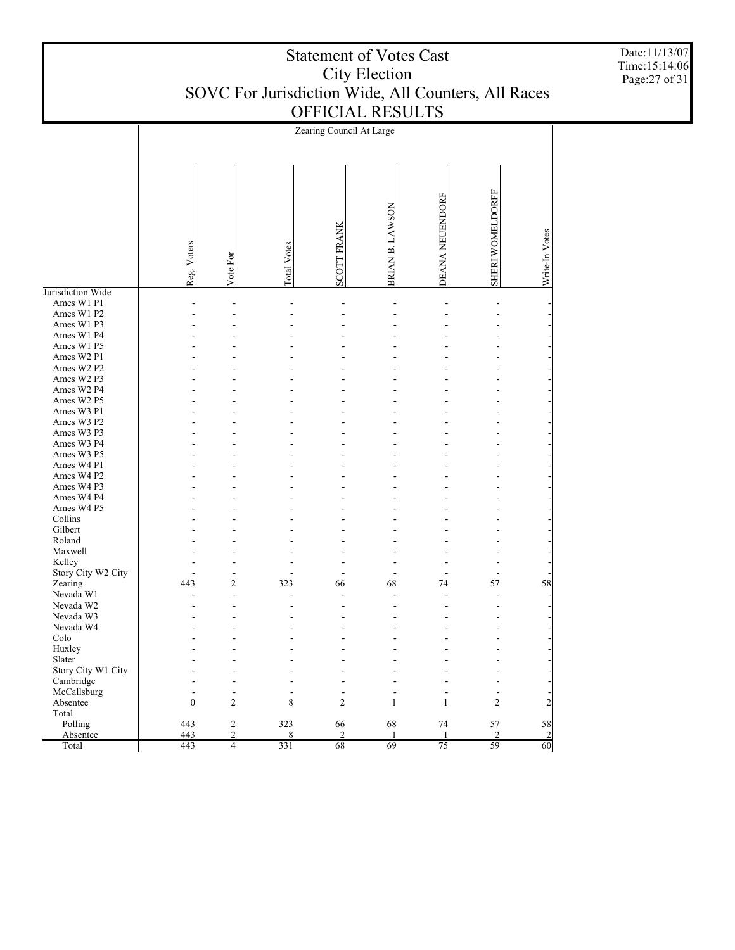|                    |              |                      |                | Zearing Council At Large |                 |                 |                  |                |
|--------------------|--------------|----------------------|----------------|--------------------------|-----------------|-----------------|------------------|----------------|
|                    | Reg. Voters  | Vote For             | Total Votes    | <b>SCOTT FRANK</b>       | BRIAN B. LAWSON | DEANA NEUENDORF | SHERI WOMELDORFF | Write-In Votes |
| Jurisdiction Wide  |              |                      |                |                          |                 |                 |                  |                |
| Ames W1 P1         |              | $\overline{a}$       |                | $\overline{a}$           | $\overline{a}$  | $\overline{a}$  | Ĭ.               |                |
| Ames W1 P2         |              |                      |                | ÷.                       | L,              |                 |                  |                |
| Ames W1 P3         |              |                      |                |                          |                 |                 |                  |                |
| Ames W1 P4         |              |                      |                |                          | L.              |                 |                  |                |
| Ames W1 P5         |              |                      |                |                          |                 |                 |                  |                |
| Ames W2 P1         |              |                      |                |                          |                 |                 |                  |                |
| Ames W2 P2         |              |                      |                |                          |                 |                 |                  |                |
| Ames W2 P3         |              |                      |                |                          |                 |                 |                  |                |
| Ames W2 P4         |              |                      |                |                          |                 |                 |                  |                |
| Ames W2 P5         |              |                      |                |                          |                 |                 |                  |                |
| Ames W3 P1         |              |                      |                |                          |                 |                 |                  |                |
| Ames W3 P2         |              |                      |                |                          |                 |                 |                  |                |
| Ames W3 P3         |              |                      |                |                          |                 |                 |                  |                |
| Ames W3 P4         |              |                      |                |                          |                 |                 |                  |                |
| Ames W3 P5         |              |                      |                |                          |                 |                 |                  |                |
| Ames W4 P1         |              |                      |                |                          |                 |                 |                  |                |
| Ames W4 P2         |              |                      |                |                          |                 |                 |                  |                |
| Ames W4 P3         |              |                      |                |                          |                 |                 |                  |                |
| Ames W4 P4         |              |                      |                |                          |                 |                 |                  |                |
| Ames W4 P5         |              |                      |                |                          |                 |                 |                  |                |
| Collins            |              |                      |                |                          |                 |                 |                  |                |
| Gilbert            |              |                      |                |                          |                 |                 |                  |                |
| Roland             |              |                      |                |                          |                 |                 |                  |                |
|                    |              |                      |                |                          |                 |                 |                  |                |
| Maxwell            |              |                      |                |                          |                 |                 |                  |                |
| Kelley             |              |                      |                |                          |                 |                 |                  |                |
| Story City W2 City | 443          | Ĭ.<br>$\overline{c}$ | 323            |                          | 68              | 74              | 57               | 58             |
| Zearing            |              | L,                   |                | 66                       |                 |                 |                  |                |
| Nevada W1          |              | ÷.                   |                |                          | L.              |                 |                  |                |
| Nevada W2          |              |                      |                |                          | L.              |                 |                  |                |
| Nevada W3          |              |                      |                |                          |                 |                 |                  |                |
| Nevada W4          |              |                      |                |                          |                 |                 |                  |                |
| Colo               |              |                      |                |                          |                 |                 |                  |                |
| Huxley             |              |                      |                |                          |                 |                 |                  |                |
| Slater             |              |                      |                |                          |                 |                 |                  |                |
| Story City W1 City |              |                      |                |                          |                 |                 |                  |                |
| Cambridge          |              |                      |                |                          |                 |                 |                  |                |
| McCallsburg        |              | L,                   | $\overline{a}$ | Ĭ.                       | L.              | L,              | $\overline{a}$   |                |
| Absentee           | $\mathbf{0}$ | $\overline{2}$       | 8              | $\overline{2}$           | $\mathbf{1}$    | $\mathbf{1}$    | $\overline{2}$   | $\overline{2}$ |
| Total              |              |                      |                |                          |                 |                 |                  |                |
| Polling            | 443          | $\sqrt{2}$           | 323            | 66                       | 68              | 74              | 57               | 58             |
| Absentee           | 443          | $\overline{c}$       | 8              | $\overline{c}$           | 1               | $\mathbf{1}$    | $\overline{c}$   | $\overline{2}$ |
| Total              | 443          | $\overline{4}$       | 331            | 68                       | 69              | $\overline{75}$ | 59               | 60             |

Date:11/13/07 Time:15:14:06 Page:27 of 31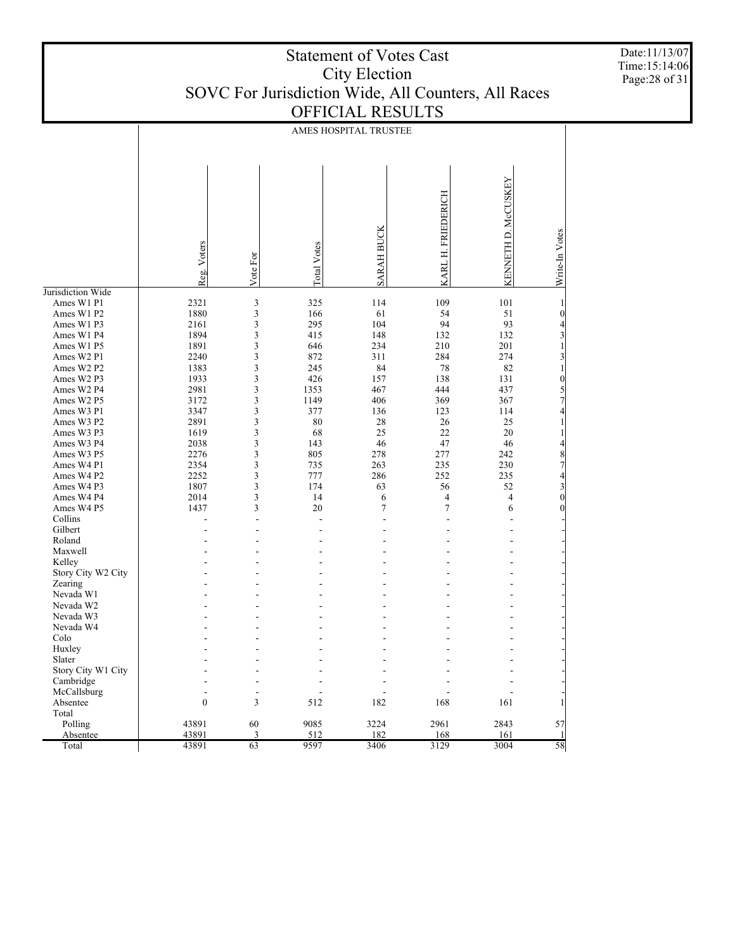| <b>Statement of Votes Cast</b>                      |
|-----------------------------------------------------|
| City Election                                       |
| SOVC For Jurisdiction Wide, All Counters, All Races |
| <b>OFFICIAL RESULTS</b>                             |

|                    | AMES HOSPITAL TRUSTEE |          |                    |                   |                       |                     |                                            |
|--------------------|-----------------------|----------|--------------------|-------------------|-----------------------|---------------------|--------------------------------------------|
|                    | Reg. Voters           | Vote For | <b>Total Votes</b> | <b>SARAH BUCK</b> | FRIEDERICH<br>KARL H. | KENNETH D. McCUSKEY | Write-In Votes                             |
| Jurisdiction Wide  |                       |          |                    |                   |                       |                     |                                            |
| Ames W1 P1         | 2321                  | 3        | 325                | 114               | 109                   | 101                 | $\mathbf{1}$                               |
| Ames W1 P2         | 1880                  | 3        | 166                | 61                | 54                    | 51                  | $\boldsymbol{0}$                           |
| Ames W1 P3         | 2161                  | 3        | 295                | 104               | 94                    | 93                  | $\overline{4}$                             |
| Ames W1 P4         | 1894                  | 3        | 415                | 148               | 132                   | 132                 | $\frac{3}{1}$                              |
| Ames W1 P5         | 1891                  | 3        | 646                | 234               | 210                   | 201                 |                                            |
| Ames W2 P1         | 2240                  | 3        | 872                | 311               | 284                   | 274                 | $\frac{3}{1}$                              |
| Ames W2 P2         | 1383                  | 3        | 245                | 84                | 78                    | 82                  |                                            |
| Ames W2 P3         | 1933                  | 3        | 426                | 157               | 138                   | 131                 | $\begin{array}{c} 0 \\ 5 \\ 7 \end{array}$ |
| Ames W2 P4         | 2981                  | 3        | 1353               | 467               | 444                   | 437                 |                                            |
| Ames W2 P5         | 3172                  | 3        | 1149               | 406               | 369                   | 367                 |                                            |
| Ames W3 P1         | 3347                  | 3        | 377                | 136               | 123                   | 114                 | $\overline{4}$                             |
| Ames W3 P2         | 2891                  | 3        | 80                 | 28                | 26                    | 25                  | $\,1\,$                                    |
| Ames W3 P3         | 1619                  | 3        | 68                 | 25                | 22                    | 20                  | $\,1\,$                                    |
| Ames W3 P4         | 2038                  | 3        | 143                | 46                | 47                    | 46                  | $\overline{4}$                             |
| Ames W3 P5         | 2276                  | 3        | 805                | 278               | 277                   | 242                 | $\begin{array}{c} 8 \\ 7 \\ 4 \end{array}$ |
| Ames W4 P1         | 2354                  | 3        | 735                | 263               | 235                   | 230                 |                                            |
| Ames W4 P2         | 2252                  | 3        | 777                | 286               | 252                   | 235                 |                                            |
| Ames W4 P3         | 1807                  | 3        | 174                | 63                | 56                    | 52                  | $\begin{bmatrix} 3 \\ 0 \end{bmatrix}$     |
| Ames W4 P4         | 2014                  | 3        | 14                 | 6                 | 4                     | $\overline{4}$      |                                            |
| Ames W4 P5         | 1437                  | 3        | 20                 | $\overline{7}$    | $\overline{7}$        | 6                   | $\overline{0}$                             |
| Collins            |                       | L,       | $\overline{a}$     | $\overline{a}$    |                       |                     |                                            |
| Gilbert            |                       |          |                    |                   |                       |                     |                                            |
| Roland             |                       |          |                    |                   |                       |                     |                                            |
| Maxwell            |                       |          |                    |                   |                       |                     |                                            |
| Kelley             |                       |          |                    |                   |                       |                     |                                            |
| Story City W2 City |                       |          |                    |                   |                       |                     |                                            |
| Zearing            |                       |          |                    |                   |                       |                     |                                            |
| Nevada W1          |                       |          |                    |                   |                       |                     |                                            |
| Nevada W2          |                       |          |                    |                   |                       |                     |                                            |
| Nevada W3          |                       |          |                    |                   |                       |                     |                                            |
| Nevada W4          |                       |          |                    |                   |                       |                     |                                            |
| Colo               |                       |          |                    |                   |                       |                     |                                            |
| Huxley             |                       |          |                    |                   |                       |                     |                                            |
| Slater             |                       |          |                    |                   |                       |                     |                                            |
| Story City W1 City |                       |          |                    |                   |                       |                     |                                            |
| Cambridge          |                       |          |                    |                   |                       |                     |                                            |
| McCallsburg        | ÷                     | ÷.       |                    |                   |                       |                     |                                            |
| Absentee           | $\mathbf{0}$          | 3        | 512                | 182               | 168                   | 161                 | 1                                          |
| Total              |                       |          |                    |                   |                       |                     |                                            |
| Polling            | 43891                 | 60       | 9085               | 3224              | 2961                  | 2843                | 57                                         |
| Absentee           | 43891                 | 3        | 512                | 182               | 168                   | 161                 | 1                                          |
| Total              | 43891                 | 63       | 9597               | 3406              | 3129                  | 3004                | 58                                         |

Date:11/13/07 Time:15:14:06 Page:28 of 31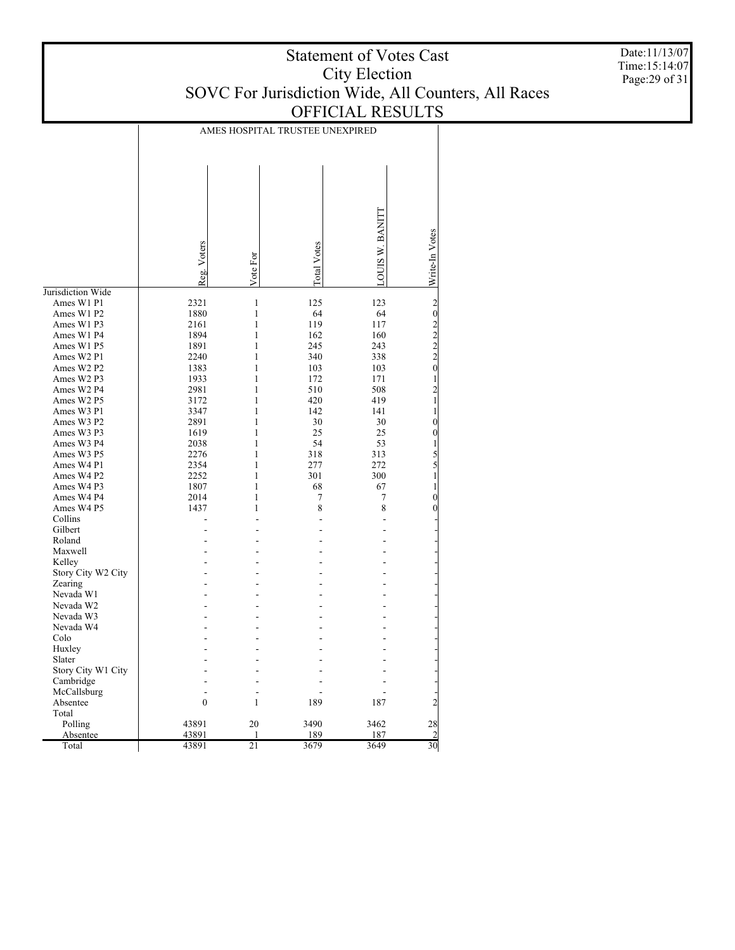Date:11/13/07 Time:15:14:07 Page:29 of 31

|                          |              |                              | AMES HOSPITAL TRUSTEE UNEXPIRED |                       |                                               |
|--------------------------|--------------|------------------------------|---------------------------------|-----------------------|-----------------------------------------------|
|                          |              |                              |                                 |                       |                                               |
|                          |              |                              |                                 |                       |                                               |
|                          |              |                              |                                 |                       |                                               |
|                          |              |                              |                                 |                       |                                               |
|                          |              |                              |                                 |                       |                                               |
|                          |              |                              |                                 |                       |                                               |
|                          |              |                              |                                 |                       |                                               |
|                          |              |                              |                                 |                       |                                               |
|                          |              |                              |                                 |                       |                                               |
|                          |              |                              |                                 |                       |                                               |
|                          | Reg. Voters  | Vote For                     | otal Votes                      | <b>OUIS W. BANITI</b> | Write-In Votes                                |
|                          |              |                              |                                 |                       |                                               |
| Jurisdiction Wide        |              |                              |                                 |                       |                                               |
| Ames W1 P1<br>Ames W1 P2 | 2321<br>1880 | $\mathbf{1}$<br>$\mathbf{1}$ | 125<br>64                       | 123<br>64             | $202222$<br>$220$                             |
| Ames W1 P3               |              | $\mathbf{1}$                 | 119                             |                       |                                               |
|                          | 2161         | 1                            |                                 | 117                   |                                               |
| Ames W1 P4               | 1894         |                              | 162                             | 160                   |                                               |
| Ames W1 P5               | 1891         | 1                            | 245                             | 243                   |                                               |
| Ames W2 P1               | 2240         | 1                            | 340                             | 338                   |                                               |
| Ames W2 P2               | 1383         | 1                            | 103                             | 103                   |                                               |
| Ames W2 P3               | 1933         | $\mathbf{1}$                 | 172                             | 171                   | $\begin{smallmatrix}1\\2\\1\end{smallmatrix}$ |
| Ames W2 P4               | 2981         | 1                            | 510                             | 508                   |                                               |
| Ames W2 P5               | 3172         | 1                            | 420                             | 419                   |                                               |
| Ames W3 P1               | 3347         | 1                            | 142                             | 141                   | $\mathbf{1}$                                  |
| Ames W3 P2               | 2891         | 1                            | 30                              | 30                    | $\mathbf{0}$                                  |
| Ames W3 P3               | 1619         | 1                            | 25                              | 25                    | $\boldsymbol{0}$                              |
| Ames W3 P4               | 2038         | 1                            | 54                              | 53                    | $\frac{1}{5}$<br>$\frac{5}{1}$                |
| Ames W3 P5               | 2276         | $\mathbf{1}$                 | 318                             | 313                   |                                               |
| Ames W4 P1               | 2354         | 1                            | 277                             | 272                   |                                               |
| Ames W4 P2               | 2252         | 1                            | 301                             | 300                   |                                               |
| Ames W4 P3               | 1807         | $\mathbf{1}$                 | 68                              | 67                    | $\mathbf{1}$                                  |
| Ames W4 P4               | 2014         | 1                            | 7                               | 7                     | $\bf{0}$                                      |
| Ames W4 P5               | 1437         | 1                            | 8                               | 8                     | $\boldsymbol{0}$                              |
| Collins                  |              |                              | L.                              | ÷                     |                                               |
| Gilbert                  |              |                              |                                 | ÷                     |                                               |
| Roland                   |              |                              |                                 |                       |                                               |
| Maxwell                  |              |                              |                                 |                       |                                               |
| Kelley                   |              |                              |                                 |                       |                                               |
| Story City W2 City       |              |                              |                                 |                       |                                               |
| Zearing                  |              |                              |                                 |                       |                                               |
| Nevada W1                |              |                              |                                 |                       |                                               |
| Nevada W2                |              |                              |                                 |                       |                                               |
| Nevada W3                |              |                              |                                 |                       |                                               |
| Nevada W4                |              |                              |                                 |                       |                                               |
| Colo                     |              |                              |                                 |                       |                                               |
| Huxley                   |              |                              |                                 |                       |                                               |
| Slater                   |              |                              |                                 |                       |                                               |
| Story City W1 City       |              |                              |                                 |                       |                                               |
| Cambridge                |              |                              |                                 |                       |                                               |
| McCallsburg              |              |                              |                                 |                       |                                               |
| Absentee                 | $\mathbf{0}$ | 1                            | 189                             | 187                   | $\overline{c}$                                |
| Total                    |              |                              |                                 |                       |                                               |
| Polling                  | 43891        | 20                           | 3490                            | 3462                  | 28                                            |
| Absentee                 | 43891        | $\mathbf{1}$                 | 189                             | 187                   | $\overline{2}$                                |
| Total                    | 43891        | 21                           | 3679                            | 3649                  | 30                                            |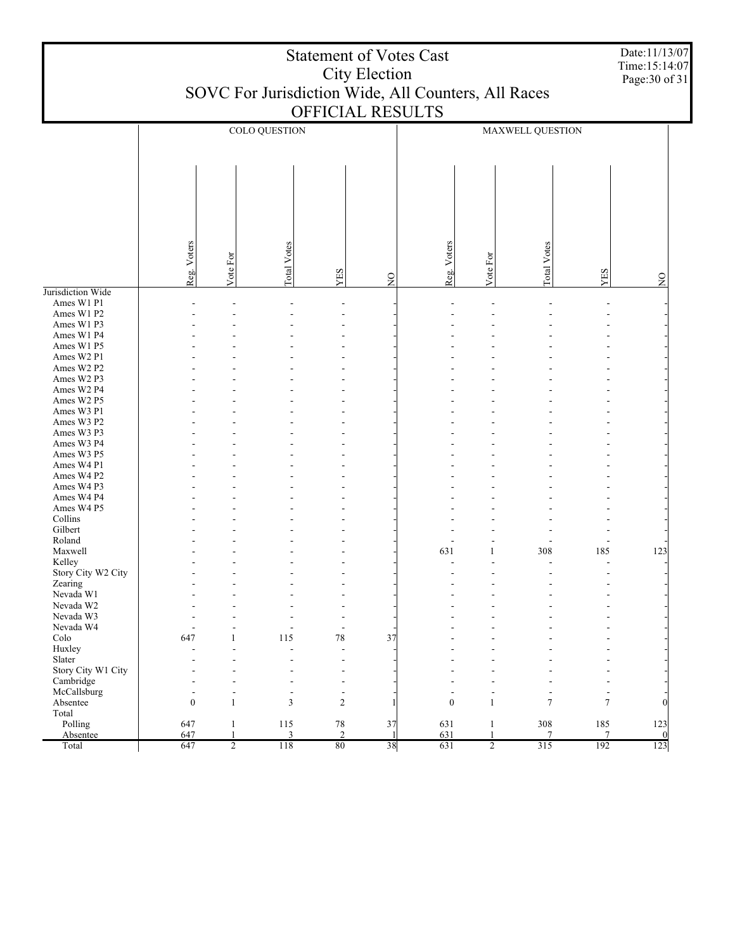|                              | <b>Statement of Votes Cast</b><br><b>City Election</b><br>SOVC For Jurisdiction Wide, All Counters, All Races<br>OFFICIAL RESULTS |                |                |                          |               |                  |                | Date:11/13/07<br>Time:15:14:07<br>Page: 30 of 31 |               |                    |
|------------------------------|-----------------------------------------------------------------------------------------------------------------------------------|----------------|----------------|--------------------------|---------------|------------------|----------------|--------------------------------------------------|---------------|--------------------|
|                              |                                                                                                                                   |                | COLO QUESTION  |                          |               |                  |                | MAXWELL QUESTION                                 |               |                    |
|                              |                                                                                                                                   |                |                |                          |               |                  |                |                                                  |               |                    |
|                              | Reg. Voters                                                                                                                       | Vote For       | Total Votes    | YES                      | $\frac{1}{2}$ | Reg. Voters      | Vote For       | <b>Total Votes</b>                               | YES           | $_{\rm Z}^{\rm O}$ |
| Jurisdiction Wide            |                                                                                                                                   |                |                |                          |               |                  |                |                                                  |               |                    |
| Ames W1 P1<br>Ames W1 P2     |                                                                                                                                   |                |                |                          |               |                  |                |                                                  |               |                    |
| Ames W1 P3                   |                                                                                                                                   |                |                |                          |               |                  |                |                                                  |               |                    |
| Ames W1 P4                   |                                                                                                                                   |                |                |                          |               |                  |                |                                                  |               |                    |
| Ames W1 P5                   |                                                                                                                                   |                |                |                          |               |                  |                |                                                  |               |                    |
| Ames W2 P1                   |                                                                                                                                   |                |                |                          |               |                  |                |                                                  |               |                    |
| Ames W2 P2                   |                                                                                                                                   |                |                |                          |               |                  |                |                                                  |               |                    |
| Ames W2 P3<br>Ames W2 P4     |                                                                                                                                   |                |                |                          |               |                  |                |                                                  |               |                    |
| Ames W2 P5                   |                                                                                                                                   |                |                |                          |               |                  |                |                                                  |               |                    |
| Ames W3 P1                   |                                                                                                                                   |                |                |                          |               |                  |                |                                                  |               |                    |
| Ames W3 P2                   |                                                                                                                                   |                |                |                          |               |                  |                |                                                  |               |                    |
| Ames W3 P3                   |                                                                                                                                   |                |                |                          |               |                  |                |                                                  |               |                    |
| Ames W3 P4                   |                                                                                                                                   |                |                |                          |               |                  |                |                                                  |               |                    |
| Ames W3 P5                   |                                                                                                                                   |                |                |                          |               |                  |                |                                                  |               |                    |
| Ames W4 P1                   |                                                                                                                                   |                |                |                          |               |                  |                |                                                  |               |                    |
| Ames W4 P2<br>Ames W4 P3     |                                                                                                                                   |                |                |                          |               |                  |                |                                                  |               |                    |
| Ames W4 P4                   |                                                                                                                                   |                |                |                          |               |                  |                |                                                  |               |                    |
| Ames W4 P5                   |                                                                                                                                   |                |                |                          |               |                  |                |                                                  |               |                    |
| Collins                      |                                                                                                                                   |                |                |                          |               |                  |                |                                                  |               |                    |
| Gilbert                      |                                                                                                                                   |                |                |                          |               |                  |                |                                                  |               |                    |
| Roland                       |                                                                                                                                   |                |                |                          |               |                  |                |                                                  |               |                    |
| Maxwell                      |                                                                                                                                   |                |                |                          |               | 631              | 1              | 308                                              | 185           | 123                |
| Kelley<br>Story City W2 City |                                                                                                                                   |                |                |                          |               |                  |                |                                                  |               |                    |
| Zearing                      |                                                                                                                                   |                |                |                          |               |                  |                |                                                  |               |                    |
| Nevada W1                    |                                                                                                                                   |                |                | ۰                        |               |                  |                |                                                  |               |                    |
| Nevada W2                    |                                                                                                                                   |                |                | $\overline{a}$           |               |                  |                |                                                  |               |                    |
| Nevada W3                    |                                                                                                                                   |                |                | $\overline{a}$           |               |                  |                |                                                  |               |                    |
| Nevada W4                    | $\overline{a}$                                                                                                                    |                |                | $\overline{a}$           |               |                  |                |                                                  |               |                    |
| Colo                         | 647                                                                                                                               | 1              | 115            | $78\,$                   | 37            |                  |                |                                                  |               |                    |
| Huxley<br>Slater             |                                                                                                                                   |                |                | ٠                        |               |                  |                |                                                  |               |                    |
| Story City W1 City           |                                                                                                                                   |                |                | ä,                       |               |                  |                |                                                  |               |                    |
| Cambridge                    |                                                                                                                                   |                |                | $\blacksquare$           |               |                  |                |                                                  |               |                    |
| McCallsburg                  | $\overline{a}$                                                                                                                    | $\overline{a}$ | $\overline{a}$ | $\overline{\phantom{a}}$ |               |                  |                | $\overline{a}$                                   |               |                    |
| Absentee                     | $\boldsymbol{0}$                                                                                                                  | $\mathbf{1}$   | 3              | $\overline{2}$           |               | $\boldsymbol{0}$ | $\mathbf{1}$   | $\overline{7}$                                   | $\tau$        |                    |
| Total                        |                                                                                                                                   |                |                |                          |               |                  |                |                                                  |               |                    |
| Polling                      | 647                                                                                                                               | $\mathbf{1}$   | 115            | $78\,$                   | 37            | 631              | 1              | 308                                              | 185           | 123                |
| Absentee                     | 647                                                                                                                               | $\mathbf{1}$   | 3<br>118       | $\overline{2}$<br>$80\,$ | -1<br>38      | 631<br>631       | $\mathbf{1}$   | $\overline{7}$<br>315                            | $\tau$<br>192 | $\overline{0}$     |
| Total                        | 647                                                                                                                               | $\overline{2}$ |                |                          |               |                  | $\overline{2}$ |                                                  |               | 123                |